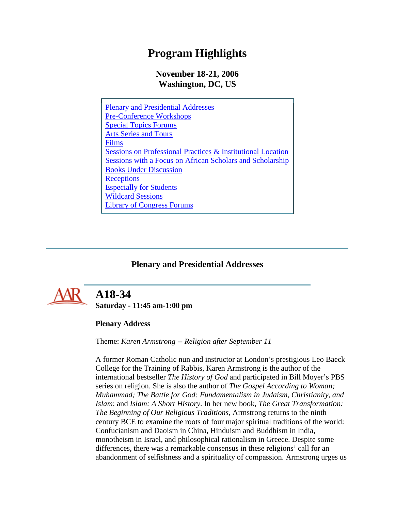## **Program Highlights**

### **November 18-21, 2006 Washington, DC, US**

| <b>Plenary and Presidential Addresses</b>                              |
|------------------------------------------------------------------------|
| <b>Pre-Conference Workshops</b>                                        |
| <b>Special Topics Forums</b>                                           |
| <b>Arts Series and Tours</b>                                           |
| Films                                                                  |
| <b>Sessions on Professional Practices &amp; Institutional Location</b> |
| Sessions with a Focus on African Scholars and Scholarship              |
| <b>Books Under Discussion</b>                                          |
| Receptions                                                             |
| <b>Especially for Students</b>                                         |
| <b>Wildcard Sessions</b>                                               |
| <b>Library of Congress Forums</b>                                      |

### **Plenary and Presidential Addresses**

<span id="page-0-0"></span>

## **A18-34 Saturday - 11:45 am-1:00 pm**

### **Plenary Address**

Theme: *Karen Armstrong -- Religion after September 11*

A former Roman Catholic nun and instructor at London's prestigious Leo Baeck College for the Training of Rabbis, Karen Armstrong is the author of the international bestseller *The History of God* and participated in Bill Moyer's PBS series on religion. She is also the author of *The Gospel According to Woman; Muhammad; The Battle for God: Fundamentalism in Judaism, Christianity, and Islam*; and *Islam: A Short History*. In her new book, *The Great Transformation: The Beginning of Our Religious Traditions*, Armstrong returns to the ninth century BCE to examine the roots of four major spiritual traditions of the world: Confucianism and Daoism in China, Hinduism and Buddhism in India, monotheism in Israel, and philosophical rationalism in Greece. Despite some differences, there was a remarkable consensus in these religions' call for an abandonment of selfishness and a spirituality of compassion. Armstrong urges us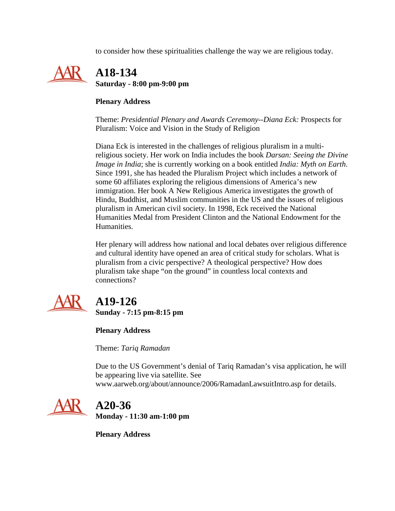to consider how these spiritualities challenge the way we are religious today.



### **Plenary Address**

Theme: *Presidential Plenary and Awards Ceremony--Diana Eck:* Prospects for Pluralism: Voice and Vision in the Study of Religion

Diana Eck is interested in the challenges of religious pluralism in a multireligious society. Her work on India includes the book *Darsan: Seeing the Divine Image in India*; she is currently working on a book entitled *India: Myth on Earth*. Since 1991, she has headed the Pluralism Project which includes a network of some 60 affiliates exploring the religious dimensions of America's new immigration. Her book A New Religious America investigates the growth of Hindu, Buddhist, and Muslim communities in the US and the issues of religious pluralism in American civil society. In 1998, Eck received the National Humanities Medal from President Clinton and the National Endowment for the Humanities.

Her plenary will address how national and local debates over religious difference and cultural identity have opened an area of critical study for scholars. What is pluralism from a civic perspective? A theological perspective? How does pluralism take shape "on the ground" in countless local contexts and connections?



# **A19-126**

**Sunday - 7:15 pm-8:15 pm**

**Plenary Address**

Theme: *Tariq Ramadan*

Due to the US Government's denial of Tariq Ramadan's visa application, he will be appearing live via satellite. See www.aarweb.org/about/announce/2006/RamadanLawsuitIntro.asp for details.



## **A20-36 Monday - 11:30 am-1:00 pm**

**Plenary Address**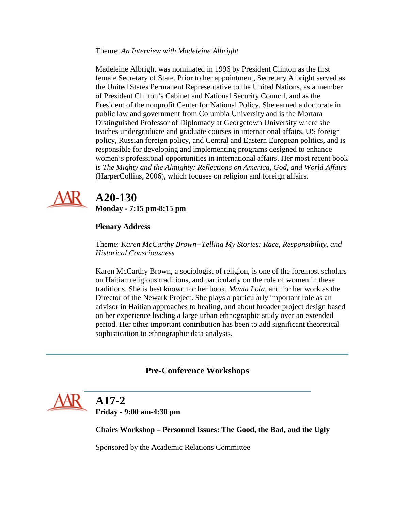#### Theme: *An Interview with Madeleine Albright*

Madeleine Albright was nominated in 1996 by President Clinton as the first female Secretary of State. Prior to her appointment, Secretary Albright served as the United States Permanent Representative to the United Nations, as a member of President Clinton's Cabinet and National Security Council, and as the President of the nonprofit Center for National Policy. She earned a doctorate in public law and government from Columbia University and is the Mortara Distinguished Professor of Diplomacy at Georgetown University where she teaches undergraduate and graduate courses in international affairs, US foreign policy, Russian foreign policy, and Central and Eastern European politics, and is responsible for developing and implementing programs designed to enhance women's professional opportunities in international affairs. Her most recent book is *The Mighty and the Almighty: Reflections on America, God, and World Affairs* (HarperCollins, 2006), which focuses on religion and foreign affairs.



# **A20-130**

**Monday - 7:15 pm-8:15 pm**

### **Plenary Address**

Theme: *Karen McCarthy Brown--Telling My Stories: Race, Responsibility, and Historical Consciousness*

Karen McCarthy Brown, a sociologist of religion, is one of the foremost scholars on Haitian religious traditions, and particularly on the role of women in these traditions. She is best known for her book, *Mama Lola*, and for her work as the Director of the Newark Project. She plays a particularly important role as an advisor in Haitian approaches to healing, and about broader project design based on her experience leading a large urban ethnographic study over an extended period. Her other important contribution has been to add significant theoretical sophistication to ethnographic data analysis.

### **Pre-Conference Workshops**

<span id="page-2-0"></span>

# **A17-2**

**Friday - 9:00 am-4:30 pm**

**Chairs Workshop – Personnel Issues: The Good, the Bad, and the Ugly**

Sponsored by the Academic Relations Committee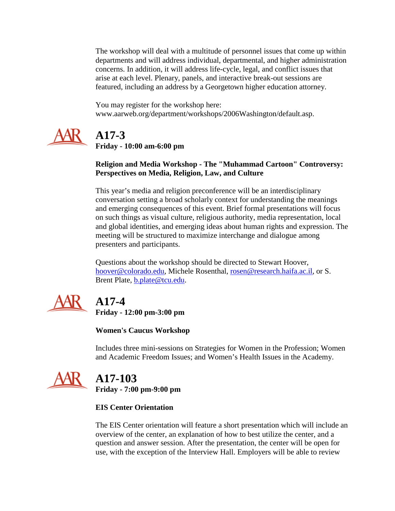The workshop will deal with a multitude of personnel issues that come up within departments and will address individual, departmental, and higher administration concerns. In addition, it will address life-cycle, legal, and conflict issues that arise at each level. Plenary, panels, and interactive break-out sessions are featured, including an address by a Georgetown higher education attorney.

You may register for the workshop here: www.aarweb.org/department/workshops/2006Washington/default.asp.



# **A17-3**

**Friday - 10:00 am-6:00 pm**

### **Religion and Media Workshop - The "Muhammad Cartoon" Controversy: Perspectives on Media, Religion, Law, and Culture**

This year's media and religion preconference will be an interdisciplinary conversation setting a broad scholarly context for understanding the meanings and emerging consequences of this event. Brief formal presentations will focus on such things as visual culture, religious authority, media representation, local and global identities, and emerging ideas about human rights and expression. The meeting will be structured to maximize interchange and dialogue among presenters and participants.

Questions about the workshop should be directed to Stewart Hoover, [hoover@colorado.edu,](mailto:hoover@colorado.edu) Michele Rosenthal, [rosen@research.haifa.ac.il,](mailto:rosen@research.haifa.ac.il) or S. Brent Plate, **b.plate@tcu.edu.** 



# **A17-4**

**Friday - 12:00 pm-3:00 pm**

**Women's Caucus Workshop**

Includes three mini-sessions on Strategies for Women in the Profession; Women and Academic Freedom Issues; and Women's Health Issues in the Academy.



# **A17-103**

**Friday - 7:00 pm-9:00 pm**

### **EIS Center Orientation**

The EIS Center orientation will feature a short presentation which will include an overview of the center, an explanation of how to best utilize the center, and a question and answer session. After the presentation, the center will be open for use, with the exception of the Interview Hall. Employers will be able to review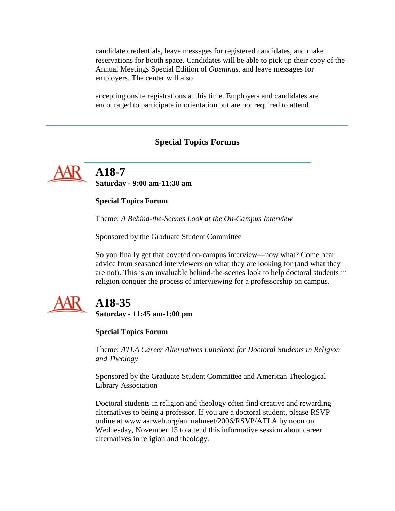candidate credentials, leave messages for registered candidates, and make reservations for booth space. Candidates will be able to pick up their copy of the Annual Meetings Special Edition of *Openings*, and leave messages for employers. The center will also

accepting onsite registrations at this time. Employers and candidates are encouraged to participate in orientation but are not required to attend.

#### **Special Topics Forums**

<span id="page-4-0"></span>

 **A18-7 Saturday - 9:00 am-11:30 am**

#### **Special Topics Forum**

Theme: *A Behind-the-Scenes Look at the On-Campus Interview*

Sponsored by the Graduate Student Committee

So you finally get that coveted on-campus interview—now what? Come hear advice from seasoned interviewers on what they are looking for (and what they are not). This is an invaluable behind-the-scenes look to help doctoral students in religion conquer the process of interviewing for a professorship on campus.



## **A18-35**

**Saturday - 11:45 am-1:00 pm**

#### **Special Topics Forum**

Theme: *ATLA Career Alternatives Luncheon for Doctoral Students in Religion and Theology*

Sponsored by the Graduate Student Committee and American Theological Library Association

Doctoral students in religion and theology often find creative and rewarding alternatives to being a professor. If you are a doctoral student, please RSVP online at www.aarweb.org/annualmeet/2006/RSVP/ATLA by noon on Wednesday, November 15 to attend this informative session about career alternatives in religion and theology.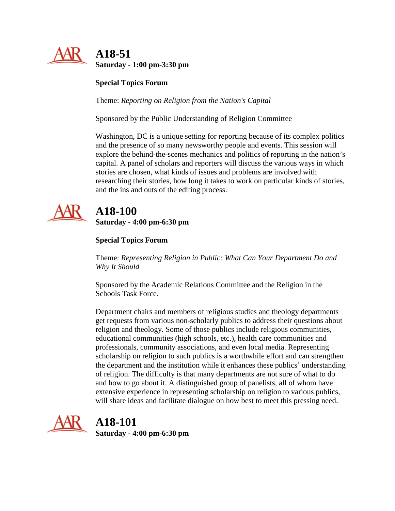

**Special Topics Forum**

Theme: *Reporting on Religion from the Nation's Capital*

Sponsored by the Public Understanding of Religion Committee

Washington, DC is a unique setting for reporting because of its complex politics and the presence of so many newsworthy people and events. This session will explore the behind-the-scenes mechanics and politics of reporting in the nation's capital. A panel of scholars and reporters will discuss the various ways in which stories are chosen, what kinds of issues and problems are involved with researching their stories, how long it takes to work on particular kinds of stories, and the ins and outs of the editing process.



# **A18-100**

**Saturday - 4:00 pm-6:30 pm**

### **Special Topics Forum**

Theme: *Representing Religion in Public: What Can Your Department Do and Why It Should*

Sponsored by the Academic Relations Committee and the Religion in the Schools Task Force.

Department chairs and members of religious studies and theology departments get requests from various non-scholarly publics to address their questions about religion and theology. Some of those publics include religious communities, educational communities (high schools, etc.), health care communities and professionals, community associations, and even local media. Representing scholarship on religion to such publics is a worthwhile effort and can strengthen the department and the institution while it enhances these publics' understanding of religion. The difficulty is that many departments are not sure of what to do and how to go about it. A distinguished group of panelists, all of whom have extensive experience in representing scholarship on religion to various publics, will share ideas and facilitate dialogue on how best to meet this pressing need.



## **A18-101**

**Saturday - 4:00 pm-6:30 pm**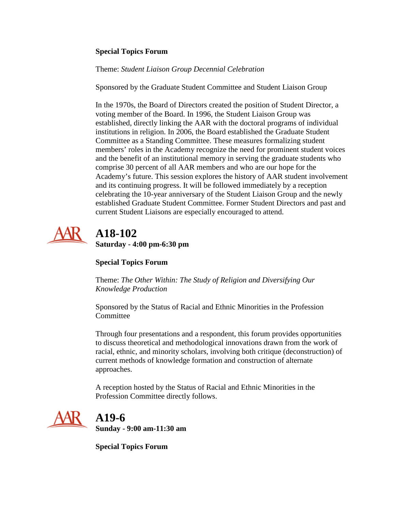### **Special Topics Forum**

Theme: *Student Liaison Group Decennial Celebration*

Sponsored by the Graduate Student Committee and Student Liaison Group

In the 1970s, the Board of Directors created the position of Student Director, a voting member of the Board. In 1996, the Student Liaison Group was established, directly linking the AAR with the doctoral programs of individual institutions in religion. In 2006, the Board established the Graduate Student Committee as a Standing Committee. These measures formalizing student members' roles in the Academy recognize the need for prominent student voices and the benefit of an institutional memory in serving the graduate students who comprise 30 percent of all AAR members and who are our hope for the Academy's future. This session explores the history of AAR student involvement and its continuing progress. It will be followed immediately by a reception celebrating the 10-year anniversary of the Student Liaison Group and the newly established Graduate Student Committee. Former Student Directors and past and current Student Liaisons are especially encouraged to attend.



## **A18-102 Saturday - 4:00 pm-6:30 pm**

### **Special Topics Forum**

Theme: *The Other Within: The Study of Religion and Diversifying Our Knowledge Production*

Sponsored by the Status of Racial and Ethnic Minorities in the Profession **Committee** 

Through four presentations and a respondent, this forum provides opportunities to discuss theoretical and methodological innovations drawn from the work of racial, ethnic, and minority scholars, involving both critique (deconstruction) of current methods of knowledge formation and construction of alternate approaches.

A reception hosted by the Status of Racial and Ethnic Minorities in the Profession Committee directly follows.



 **A19-6 Sunday - 9:00 am-11:30 am**

**Special Topics Forum**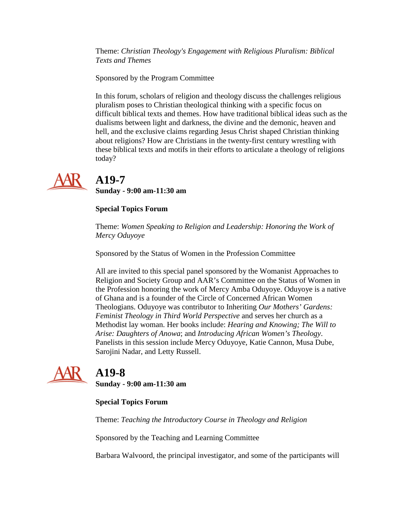Theme: *Christian Theology's Engagement with Religious Pluralism: Biblical Texts and Themes*

Sponsored by the Program Committee

In this forum, scholars of religion and theology discuss the challenges religious pluralism poses to Christian theological thinking with a specific focus on difficult biblical texts and themes. How have traditional biblical ideas such as the dualisms between light and darkness, the divine and the demonic, heaven and hell, and the exclusive claims regarding Jesus Christ shaped Christian thinking about religions? How are Christians in the twenty-first century wrestling with these biblical texts and motifs in their efforts to articulate a theology of religions today?



## **A19-7**

**Sunday - 9:00 am-11:30 am**

### **Special Topics Forum**

Theme: *Women Speaking to Religion and Leadership: Honoring the Work of Mercy Oduyoye*

Sponsored by the Status of Women in the Profession Committee

All are invited to this special panel sponsored by the Womanist Approaches to Religion and Society Group and AAR's Committee on the Status of Women in the Profession honoring the work of Mercy Amba Oduyoye. Oduyoye is a native of Ghana and is a founder of the Circle of Concerned African Women Theologians. Oduyoye was contributor to Inheriting *Our Mothers' Gardens: Feminist Theology in Third World Perspective* and serves her church as a Methodist lay woman. Her books include: *Hearing and Knowing; The Will to Arise: Daughters of Anowa*; and *Introducing African Women's Theology*. Panelists in this session include Mercy Oduyoye, Katie Cannon, Musa Dube, Sarojini Nadar, and Letty Russell.



## **A19-8**

**Sunday - 9:00 am-11:30 am**

### **Special Topics Forum**

Theme: *Teaching the Introductory Course in Theology and Religion*

Sponsored by the Teaching and Learning Committee

Barbara Walvoord, the principal investigator, and some of the participants will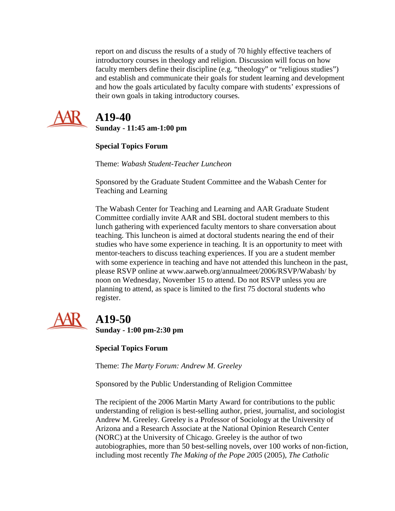report on and discuss the results of a study of 70 highly effective teachers of introductory courses in theology and religion. Discussion will focus on how faculty members define their discipline (e.g. "theology" or "religious studies") and establish and communicate their goals for student learning and development and how the goals articulated by faculty compare with students' expressions of their own goals in taking introductory courses.



## **A19-40**

**Sunday - 11:45 am-1:00 pm**

**Special Topics Forum**

Theme: *Wabash Student-Teacher Luncheon*

Sponsored by the Graduate Student Committee and the Wabash Center for Teaching and Learning

The Wabash Center for Teaching and Learning and AAR Graduate Student Committee cordially invite AAR and SBL doctoral student members to this lunch gathering with experienced faculty mentors to share conversation about teaching. This luncheon is aimed at doctoral students nearing the end of their studies who have some experience in teaching. It is an opportunity to meet with mentor-teachers to discuss teaching experiences. If you are a student member with some experience in teaching and have not attended this luncheon in the past, please RSVP online at www.aarweb.org/annualmeet/2006/RSVP/Wabash/ by noon on Wednesday, November 15 to attend. Do not RSVP unless you are planning to attend, as space is limited to the first 75 doctoral students who register.



# **A19-50**

**Sunday - 1:00 pm-2:30 pm**

**Special Topics Forum**

Theme: *The Marty Forum: Andrew M. Greeley*

Sponsored by the Public Understanding of Religion Committee

The recipient of the 2006 Martin Marty Award for contributions to the public understanding of religion is best-selling author, priest, journalist, and sociologist Andrew M. Greeley. Greeley is a Professor of Sociology at the University of Arizona and a Research Associate at the National Opinion Research Center (NORC) at the University of Chicago. Greeley is the author of two autobiographies, more than 50 best-selling novels, over 100 works of non-fiction, including most recently *The Making of the Pope 2005* (2005), *The Catholic*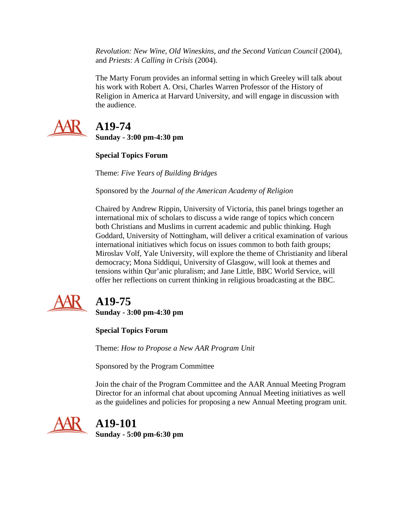*Revolution: New Wine, Old Wineskins, and the Second Vatican Council* (2004), and *Priests: A Calling in Crisis* (2004).

The Marty Forum provides an informal setting in which Greeley will talk about his work with Robert A. Orsi, Charles Warren Professor of the History of Religion in America at Harvard University, and will engage in discussion with the audience.



## **A19-74**

**Sunday - 3:00 pm-4:30 pm**

**Special Topics Forum**

Theme: *Five Years of Building Bridges*

Sponsored by the *Journal of the American Academy of Religion*

Chaired by Andrew Rippin, University of Victoria, this panel brings together an international mix of scholars to discuss a wide range of topics which concern both Christians and Muslims in current academic and public thinking. Hugh Goddard, University of Nottingham, will deliver a critical examination of various international initiatives which focus on issues common to both faith groups; Miroslav Volf, Yale University, will explore the theme of Christianity and liberal democracy; Mona Siddiqui, University of Glasgow, will look at themes and tensions within Qur'anic pluralism; and Jane Little, BBC World Service, will offer her reflections on current thinking in religious broadcasting at the BBC.



# **A19-75**

**Sunday - 3:00 pm-4:30 pm**

**Special Topics Forum**

Theme: *How to Propose a New AAR Program Unit*

Sponsored by the Program Committee

Join the chair of the Program Committee and the AAR Annual Meeting Program Director for an informal chat about upcoming Annual Meeting initiatives as well as the guidelines and policies for proposing a new Annual Meeting program unit.



**A19-101**

**Sunday - 5:00 pm-6:30 pm**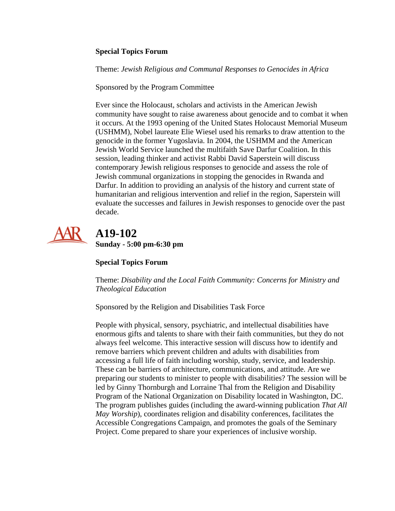#### **Special Topics Forum**

Theme: *Jewish Religious and Communal Responses to Genocides in Africa*

Sponsored by the Program Committee

Ever since the Holocaust, scholars and activists in the American Jewish community have sought to raise awareness about genocide and to combat it when it occurs. At the 1993 opening of the United States Holocaust Memorial Museum (USHMM), Nobel laureate Elie Wiesel used his remarks to draw attention to the genocide in the former Yugoslavia. In 2004, the USHMM and the American Jewish World Service launched the multifaith Save Darfur Coalition. In this session, leading thinker and activist Rabbi David Saperstein will discuss contemporary Jewish religious responses to genocide and assess the role of Jewish communal organizations in stopping the genocides in Rwanda and Darfur. In addition to providing an analysis of the history and current state of humanitarian and religious intervention and relief in the region, Saperstein will evaluate the successes and failures in Jewish responses to genocide over the past decade.



## **A19-102 Sunday - 5:00 pm-6:30 pm**

### **Special Topics Forum**

Theme: *Disability and the Local Faith Community: Concerns for Ministry and Theological Education*

Sponsored by the Religion and Disabilities Task Force

People with physical, sensory, psychiatric, and intellectual disabilities have enormous gifts and talents to share with their faith communities, but they do not always feel welcome. This interactive session will discuss how to identify and remove barriers which prevent children and adults with disabilities from accessing a full life of faith including worship, study, service, and leadership. These can be barriers of architecture, communications, and attitude. Are we preparing our students to minister to people with disabilities? The session will be led by Ginny Thornburgh and Lorraine Thal from the Religion and Disability Program of the National Organization on Disability located in Washington, DC. The program publishes guides (including the award-winning publication *That All May Worship*), coordinates religion and disability conferences, facilitates the Accessible Congregations Campaign, and promotes the goals of the Seminary Project. Come prepared to share your experiences of inclusive worship.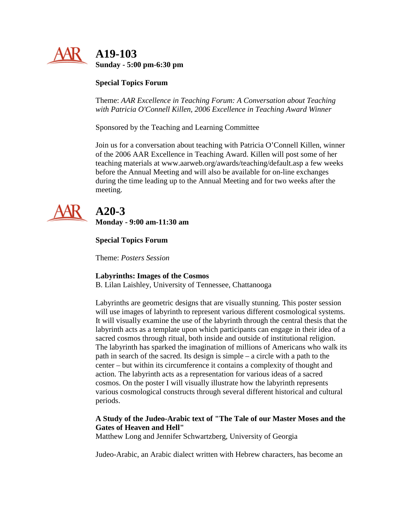

#### **Special Topics Forum**

Theme: *AAR Excellence in Teaching Forum: A Conversation about Teaching with Patricia O'Connell Killen, 2006 Excellence in Teaching Award Winner*

Sponsored by the Teaching and Learning Committee

Join us for a conversation about teaching with Patricia O'Connell Killen, winner of the 2006 AAR Excellence in Teaching Award. Killen will post some of her teaching materials at www.aarweb.org/awards/teaching/default.asp a few weeks before the Annual Meeting and will also be available for on-line exchanges during the time leading up to the Annual Meeting and for two weeks after the meeting.



## **A20-3**

**Monday - 9:00 am-11:30 am**

#### **Special Topics Forum**

Theme: *Posters Session*

#### **Labyrinths: Images of the Cosmos**

B. Lilan Laishley, University of Tennessee, Chattanooga

Labyrinths are geometric designs that are visually stunning. This poster session will use images of labyrinth to represent various different cosmological systems. It will visually examine the use of the labyrinth through the central thesis that the labyrinth acts as a template upon which participants can engage in their idea of a sacred cosmos through ritual, both inside and outside of institutional religion. The labyrinth has sparked the imagination of millions of Americans who walk its path in search of the sacred. Its design is simple – a circle with a path to the center – but within its circumference it contains a complexity of thought and action. The labyrinth acts as a representation for various ideas of a sacred cosmos. On the poster I will visually illustrate how the labyrinth represents various cosmological constructs through several different historical and cultural periods.

#### **A Study of the Judeo-Arabic text of "The Tale of our Master Moses and the Gates of Heaven and Hell"**

Matthew Long and Jennifer Schwartzberg, University of Georgia

Judeo-Arabic, an Arabic dialect written with Hebrew characters, has become an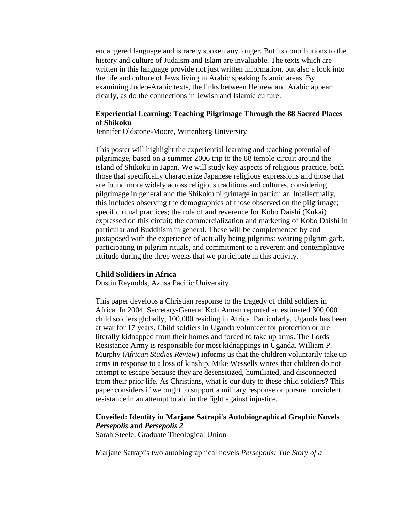endangered language and is rarely spoken any longer. But its contributions to the history and culture of Judaism and Islam are invaluable. The texts which are written in this language provide not just written information, but also a look into the life and culture of Jews living in Arabic speaking Islamic areas. By examining Judeo-Arabic texts, the links between Hebrew and Arabic appear clearly, as do the connections in Jewish and Islamic culture.

#### **Experiential Learning: Teaching Pilgrimage Through the 88 Sacred Places of Shikoku**

Jennifer Oldstone-Moore, Wittenberg University

This poster will highlight the experiential learning and teaching potential of pilgrimage, based on a summer 2006 trip to the 88 temple circuit around the island of Shikoku in Japan. We will study key aspects of religious practice, both those that specifically characterize Japanese religious expressions and those that are found more widely across religious traditions and cultures, considering pilgrimage in general and the Shikoku pilgrimage in particular. Intellectually, this includes observing the demographics of those observed on the pilgrimage; specific ritual practices; the role of and reverence for Kobo Daishi (Kukai) expressed on this circuit; the commercialization and marketing of Kobo Daishi in particular and Buddhism in general. These will be complemented by and juxtaposed with the experience of actually being pilgrims: wearing pilgrim garb, participating in pilgrim rituals, and commitment to a reverent and contemplative attitude during the three weeks that we participate in this activity.

#### **Child Solidiers in Africa**

Dustin Reynolds, Azusa Pacific University

This paper develops a Christian response to the tragedy of child soldiers in Africa. In 2004, Secretary-General Kofi Annan reported an estimated 300,000 child soldiers globally, 100,000 residing in Africa. Particularly, Uganda has been at war for 17 years. Child soldiers in Uganda volunteer for protection or are literally kidnapped from their homes and forced to take up arms. The Lords Resistance Army is responsible for most kidnappings in Uganda. William P. Murphy (*African Studies Review*) informs us that the children voluntarily take up arms in response to a loss of kinship. Mike Wessells writes that children do not attempt to escape because they are desensitized, humiliated, and disconnected from their prior life. As Christians, what is our duty to these child soldiers? This paper considers if we ought to support a military response or pursue nonviolent resistance in an attempt to aid in the fight against injustice.

#### **Unveiled: Identity in Marjane Satrapi's Autobiographical Graphic Novels**  *Persepolis* **and** *Persepolis 2*

Sarah Steele, Graduate Theological Union

Marjane Satrapi's two autobiographical novels *Persepolis: The Story of a*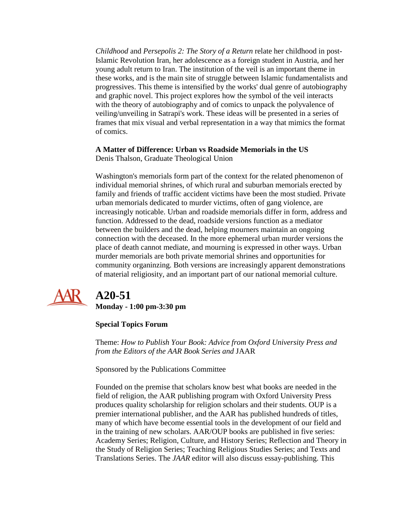*Childhood* and *Persepolis 2: The Story of a Return* relate her childhood in post-Islamic Revolution Iran, her adolescence as a foreign student in Austria, and her young adult return to Iran. The institution of the veil is an important theme in these works, and is the main site of struggle between Islamic fundamentalists and progressives. This theme is intensified by the works' dual genre of autobiography and graphic novel. This project explores how the symbol of the veil interacts with the theory of autobiography and of comics to unpack the polyvalence of veiling/unveiling in Satrapi's work. These ideas will be presented in a series of frames that mix visual and verbal representation in a way that mimics the format of comics.

#### **A Matter of Difference: Urban vs Roadside Memorials in the US**

Denis Thalson, Graduate Theological Union

Washington's memorials form part of the context for the related phenomenon of individual memorial shrines, of which rural and suburban memorials erected by family and friends of traffic accident victims have been the most studied. Private urban memorials dedicated to murder victims, often of gang violence, are increasingly noticable. Urban and roadside memorials differ in form, address and function. Addressed to the dead, roadside versions function as a mediator between the builders and the dead, helping mourners maintain an ongoing connection with the deceased. In the more ephemeral urban murder versions the place of death cannot mediate, and mourning is expressed in other ways. Urban murder memorials are both private memorial shrines and opportunities for community organinzing. Both versions are increasingly apparent demonstrations of material religiosity, and an important part of our national memorial culture.



## **A20-51**

**Monday - 1:00 pm-3:30 pm**

### **Special Topics Forum**

Theme: *How to Publish Your Book: Advice from Oxford University Press and from the Editors of the AAR Book Series and* JAAR

Sponsored by the Publications Committee

Founded on the premise that scholars know best what books are needed in the field of religion, the AAR publishing program with Oxford University Press produces quality scholarship for religion scholars and their students. OUP is a premier international publisher, and the AAR has published hundreds of titles, many of which have become essential tools in the development of our field and in the training of new scholars. AAR/OUP books are published in five series: Academy Series; Religion, Culture, and History Series; Reflection and Theory in the Study of Religion Series; Teaching Religious Studies Series; and Texts and Translations Series. The *JAAR* editor will also discuss essay-publishing. This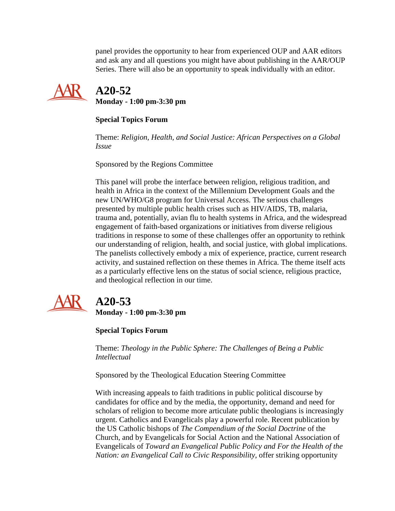panel provides the opportunity to hear from experienced OUP and AAR editors and ask any and all questions you might have about publishing in the AAR/OUP Series. There will also be an opportunity to speak individually with an editor.



## **A20-52 Monday - 1:00 pm-3:30 pm**

### **Special Topics Forum**

Theme: *Religion, Health, and Social Justice: African Perspectives on a Global Issue*

Sponsored by the Regions Committee

This panel will probe the interface between religion, religious tradition, and health in Africa in the context of the Millennium Development Goals and the new UN/WHO/G8 program for Universal Access. The serious challenges presented by multiple public health crises such as HIV/AIDS, TB, malaria, trauma and, potentially, avian flu to health systems in Africa, and the widespread engagement of faith-based organizations or initiatives from diverse religious traditions in response to some of these challenges offer an opportunity to rethink our understanding of religion, health, and social justice, with global implications. The panelists collectively embody a mix of experience, practice, current research activity, and sustained reflection on these themes in Africa. The theme itself acts as a particularly effective lens on the status of social science, religious practice, and theological reflection in our time.



# **A20-53**

**Monday - 1:00 pm-3:30 pm**

### **Special Topics Forum**

Theme: *Theology in the Public Sphere: The Challenges of Being a Public Intellectual*

Sponsored by the Theological Education Steering Committee

With increasing appeals to faith traditions in public political discourse by candidates for office and by the media, the opportunity, demand and need for scholars of religion to become more articulate public theologians is increasingly urgent. Catholics and Evangelicals play a powerful role. Recent publication by the US Catholic bishops of *The Compendium of the Social Doctrine* of the Church, and by Evangelicals for Social Action and the National Association of Evangelicals of *Toward an Evangelical Public Policy and For the Health of the Nation: an Evangelical Call to Civic Responsibility*, offer striking opportunity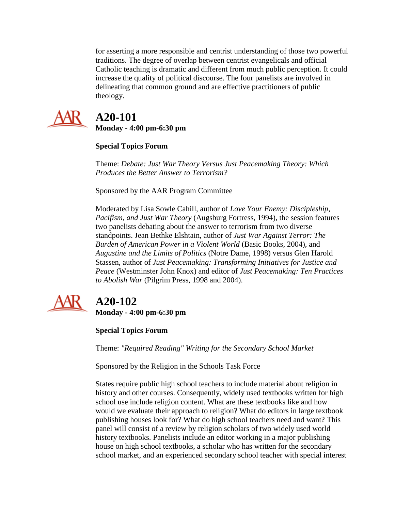for asserting a more responsible and centrist understanding of those two powerful traditions. The degree of overlap between centrist evangelicals and official Catholic teaching is dramatic and different from much public perception. It could increase the quality of political discourse. The four panelists are involved in delineating that common ground and are effective practitioners of public theology.



# **A20-101**

**Monday - 4:00 pm-6:30 pm**

### **Special Topics Forum**

Theme: *Debate: Just War Theory Versus Just Peacemaking Theory: Which Produces the Better Answer to Terrorism?*

Sponsored by the AAR Program Committee

Moderated by Lisa Sowle Cahill, author of *Love Your Enemy: Discipleship, Pacifism, and Just War Theory* (Augsburg Fortress, 1994), the session features two panelists debating about the answer to terrorism from two diverse standpoints. Jean Bethke Elshtain, author of *Just War Against Terror: The Burden of American Power in a Violent World* (Basic Books, 2004), and *Augustine and the Limits of Politics* (Notre Dame, 1998) versus Glen Harold Stassen, author of *Just Peacemaking: Transforming Initiatives for Justice and Peace* (Westminster John Knox) and editor of *Just Peacemaking: Ten Practices to Abolish War* (Pilgrim Press, 1998 and 2004).



# **A20-102**

**Monday - 4:00 pm-6:30 pm**

### **Special Topics Forum**

Theme: *"Required Reading" Writing for the Secondary School Market*

Sponsored by the Religion in the Schools Task Force

States require public high school teachers to include material about religion in history and other courses. Consequently, widely used textbooks written for high school use include religion content. What are these textbooks like and how would we evaluate their approach to religion? What do editors in large textbook publishing houses look for? What do high school teachers need and want? This panel will consist of a review by religion scholars of two widely used world history textbooks. Panelists include an editor working in a major publishing house on high school textbooks, a scholar who has written for the secondary school market, and an experienced secondary school teacher with special interest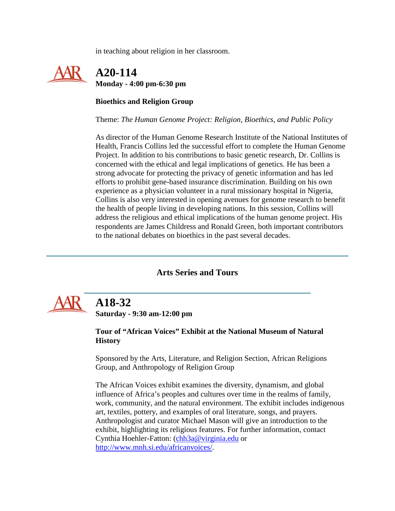in teaching about religion in her classroom.

## **A20-114 Monday - 4:00 pm-6:30 pm**

#### **Bioethics and Religion Group**

Theme: *The Human Genome Project: Religion, Bioethics, and Public Policy*

As director of the Human Genome Research Institute of the National Institutes of Health, Francis Collins led the successful effort to complete the Human Genome Project. In addition to his contributions to basic genetic research, Dr. Collins is concerned with the ethical and legal implications of genetics. He has been a strong advocate for protecting the privacy of genetic information and has led efforts to prohibit gene-based insurance discrimination. Building on his own experience as a physician volunteer in a rural missionary hospital in Nigeria, Collins is also very interested in opening avenues for genome research to benefit the health of people living in developing nations. In this session, Collins will address the religious and ethical implications of the human genome project. His respondents are James Childress and Ronald Green, both important contributors to the national debates on bioethics in the past several decades.

### **Arts Series and Tours**

<span id="page-16-0"></span>

## **A18-32**

**Saturday - 9:30 am-12:00 pm**

#### **Tour of "African Voices" Exhibit at the National Museum of Natural History**

Sponsored by the Arts, Literature, and Religion Section, African Religions Group, and Anthropology of Religion Group

The African Voices exhibit examines the diversity, dynamism, and global influence of Africa's peoples and cultures over time in the realms of family, work, community, and the natural environment. The exhibit includes indigenous art, textiles, pottery, and examples of oral literature, songs, and prayers. Anthropologist and curator Michael Mason will give an introduction to the exhibit, highlighting its religious features. For further information, contact Cynthia Hoehler-Fatton: [\(chh3a@virginia.edu](mailto:chh3a@virginia.edu) or [http://www.mnh.si.edu/africanvoices/.](http://www.mnh.si.edu/africanvoices/)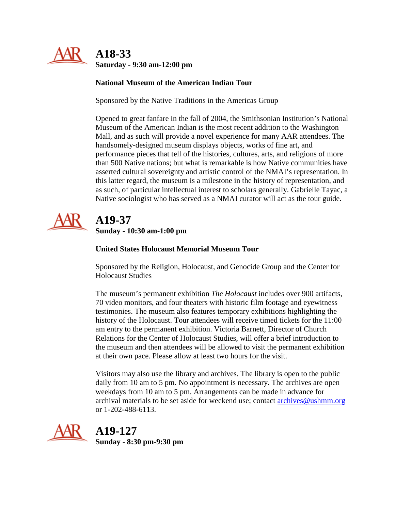

## **A18-33 Saturday - 9:30 am-12:00 pm**

### **National Museum of the American Indian Tour**

Sponsored by the Native Traditions in the Americas Group

Opened to great fanfare in the fall of 2004, the Smithsonian Institution's National Museum of the American Indian is the most recent addition to the Washington Mall, and as such will provide a novel experience for many AAR attendees. The handsomely-designed museum displays objects, works of fine art, and performance pieces that tell of the histories, cultures, arts, and religions of more than 500 Native nations; but what is remarkable is how Native communities have asserted cultural sovereignty and artistic control of the NMAI's representation. In this latter regard, the museum is a milestone in the history of representation, and as such, of particular intellectual interest to scholars generally. Gabrielle Tayac, a Native sociologist who has served as a NMAI curator will act as the tour guide.



## **A19-37 Sunday - 10:30 am-1:00 pm**

### **United States Holocaust Memorial Museum Tour**

Sponsored by the Religion, Holocaust, and Genocide Group and the Center for Holocaust Studies

The museum's permanent exhibition *The Holocaust* includes over 900 artifacts, 70 video monitors, and four theaters with historic film footage and eyewitness testimonies. The museum also features temporary exhibitions highlighting the history of the Holocaust. Tour attendees will receive timed tickets for the 11:00 am entry to the permanent exhibition. Victoria Barnett, Director of Church Relations for the Center of Holocaust Studies, will offer a brief introduction to the museum and then attendees will be allowed to visit the permanent exhibition at their own pace. Please allow at least two hours for the visit.

Visitors may also use the library and archives. The library is open to the public daily from 10 am to 5 pm. No appointment is necessary. The archives are open weekdays from 10 am to 5 pm. Arrangements can be made in advance for archival materials to be set aside for weekend use; contact  $\frac{\text{archives}\omega_{\text{us}}}{\text{archives}\omega_{\text{us}}}$ or 1-202-488-6113.



**A19-127**

**Sunday - 8:30 pm-9:30 pm**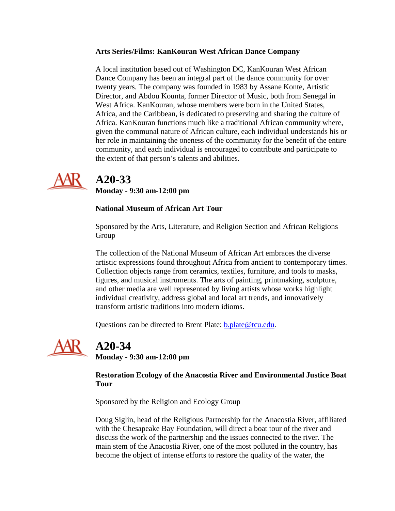#### **Arts Series/Films: KanKouran West African Dance Company**

A local institution based out of Washington DC, KanKouran West African Dance Company has been an integral part of the dance community for over twenty years. The company was founded in 1983 by Assane Konte, Artistic Director, and Abdou Kounta, former Director of Music, both from Senegal in West Africa. KanKouran, whose members were born in the United States, Africa, and the Caribbean, is dedicated to preserving and sharing the culture of Africa. KanKouran functions much like a traditional African community where, given the communal nature of African culture, each individual understands his or her role in maintaining the oneness of the community for the benefit of the entire community, and each individual is encouraged to contribute and participate to the extent of that person's talents and abilities.



## **A20-33**

**Monday - 9:30 am-12:00 pm**

### **National Museum of African Art Tour**

Sponsored by the Arts, Literature, and Religion Section and African Religions Group

The collection of the National Museum of African Art embraces the diverse artistic expressions found throughout Africa from ancient to contemporary times. Collection objects range from ceramics, textiles, furniture, and tools to masks, figures, and musical instruments. The arts of painting, printmaking, sculpture, and other media are well represented by living artists whose works highlight individual creativity, address global and local art trends, and innovatively transform artistic traditions into modern idioms.

Questions can be directed to Brent Plate: [b.plate@tcu.edu.](mailto:b.plate@tcu.edu)



## **A20-34**

**Monday - 9:30 am-12:00 pm**

### **Restoration Ecology of the Anacostia River and Environmental Justice Boat Tour**

Sponsored by the Religion and Ecology Group

Doug Siglin, head of the Religious Partnership for the Anacostia River, affiliated with the Chesapeake Bay Foundation, will direct a boat tour of the river and discuss the work of the partnership and the issues connected to the river. The main stem of the Anacostia River, one of the most polluted in the country, has become the object of intense efforts to restore the quality of the water, the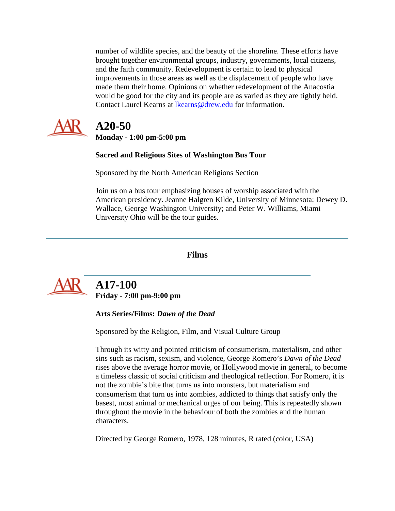number of wildlife species, and the beauty of the shoreline. These efforts have brought together environmental groups, industry, governments, local citizens, and the faith community. Redevelopment is certain to lead to physical improvements in those areas as well as the displacement of people who have made them their home. Opinions on whether redevelopment of the Anacostia would be good for the city and its people are as varied as they are tightly held. Contact Laurel Kearns at [lkearns@drew.edu](mailto:lkearns@drew.edu) for information.



## **A20-50**

**Monday - 1:00 pm-5:00 pm**

### **Sacred and Religious Sites of Washington Bus Tour**

Sponsored by the North American Religions Section

Join us on a bus tour emphasizing houses of worship associated with the American presidency. Jeanne Halgren Kilde, University of Minnesota; Dewey D. Wallace, George Washington University; and Peter W. Williams, Miami University Ohio will be the tour guides.

### **Films**

<span id="page-19-0"></span>

## **A17-100 Friday - 7:00 pm-9:00 pm**

**Arts Series/Films:** *Dawn of the Dead*

Sponsored by the Religion, Film, and Visual Culture Group

Through its witty and pointed criticism of consumerism, materialism, and other sins such as racism, sexism, and violence, George Romero's *Dawn of the Dead* rises above the average horror movie, or Hollywood movie in general, to become a timeless classic of social criticism and theological reflection. For Romero, it is not the zombie's bite that turns us into monsters, but materialism and consumerism that turn us into zombies, addicted to things that satisfy only the basest, most animal or mechanical urges of our being. This is repeatedly shown throughout the movie in the behaviour of both the zombies and the human characters.

Directed by George Romero, 1978, 128 minutes, R rated (color, USA)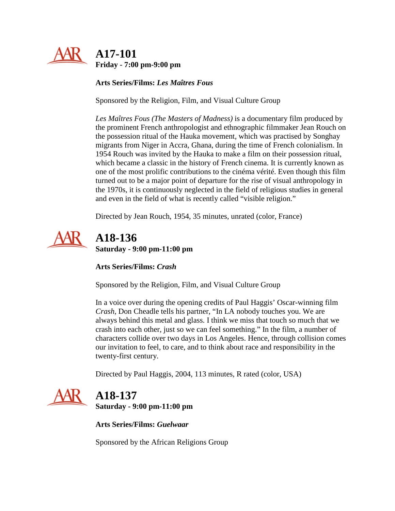

**Arts Series/Films:** *Les Maîtres Fous*

Sponsored by the Religion, Film, and Visual Culture Group

*Les Maîtres Fous (The Masters of Madness)* is a documentary film produced by the prominent French anthropologist and ethnographic filmmaker Jean Rouch on the possession ritual of the Hauka movement, which was practised by Songhay migrants from Niger in Accra, Ghana, during the time of French colonialism. In 1954 Rouch was invited by the Hauka to make a film on their possession ritual, which became a classic in the history of French cinema. It is currently known as one of the most prolific contributions to the cinéma vérité. Even though this film turned out to be a major point of departure for the rise of visual anthropology in the 1970s, it is continuously neglected in the field of religious studies in general and even in the field of what is recently called "visible religion."

Directed by Jean Rouch, 1954, 35 minutes, unrated (color, France)



 **A18-136 Saturday - 9:00 pm-11:00 pm**

**Arts Series/Films:** *Crash*

Sponsored by the Religion, Film, and Visual Culture Group

In a voice over during the opening credits of Paul Haggis' Oscar-winning film *Crash*, Don Cheadle tells his partner, "In LA nobody touches you. We are always behind this metal and glass. I think we miss that touch so much that we crash into each other, just so we can feel something." In the film, a number of characters collide over two days in Los Angeles. Hence, through collision comes our invitation to feel, to care, and to think about race and responsibility in the twenty-first century.

Directed by Paul Haggis, 2004, 113 minutes, R rated (color, USA)



 **A18-137 Saturday - 9:00 pm-11:00 pm**

**Arts Series/Films:** *Guelwaar*

Sponsored by the African Religions Group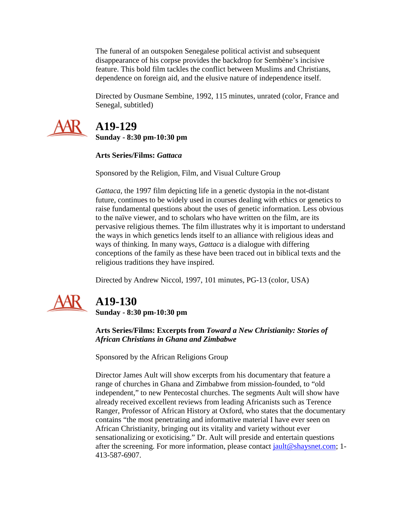The funeral of an outspoken Senegalese political activist and subsequent disappearance of his corpse provides the backdrop for Sembène's incisive feature. This bold film tackles the conflict between Muslims and Christians, dependence on foreign aid, and the elusive nature of independence itself.

Directed by Ousmane Sembìne, 1992, 115 minutes, unrated (color, France and Senegal, subtitled)



# **A19-129**

**Sunday - 8:30 pm-10:30 pm**

### **Arts Series/Films:** *Gattaca*

Sponsored by the Religion, Film, and Visual Culture Group

*Gattaca*, the 1997 film depicting life in a genetic dystopia in the not-distant future, continues to be widely used in courses dealing with ethics or genetics to raise fundamental questions about the uses of genetic information. Less obvious to the naïve viewer, and to scholars who have written on the film, are its pervasive religious themes. The film illustrates why it is important to understand the ways in which genetics lends itself to an alliance with religious ideas and ways of thinking. In many ways, *Gattaca* is a dialogue with differing conceptions of the family as these have been traced out in biblical texts and the religious traditions they have inspired.

Directed by Andrew Niccol, 1997, 101 minutes, PG-13 (color, USA)



# **A19-130**

**Sunday - 8:30 pm-10:30 pm**

**Arts Series/Films: Excerpts from** *Toward a New Christianity: Stories of African Christians in Ghana and Zimbabwe*

Sponsored by the African Religions Group

Director James Ault will show excerpts from his documentary that feature a range of churches in Ghana and Zimbabwe from mission-founded, to "old independent," to new Pentecostal churches. The segments Ault will show have already received excellent reviews from leading Africanists such as Terence Ranger, Professor of African History at Oxford, who states that the documentary contains "the most penetrating and informative material I have ever seen on African Christianity, bringing out its vitality and variety without ever sensationalizing or exoticising." Dr. Ault will preside and entertain questions after the screening. For more information, please contact [jault@shaysnet.com;](mailto:jault@shaysnet.com) 1- 413-587-6907.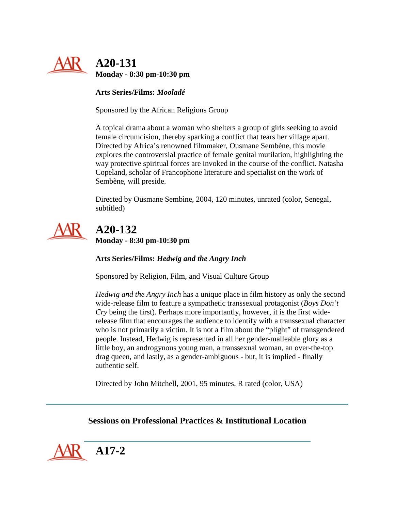

**Monday - 8:30 pm-10:30 pm**

**Arts Series/Films:** *Mooladé*

Sponsored by the African Religions Group

A topical drama about a woman who shelters a group of girls seeking to avoid female circumcision, thereby sparking a conflict that tears her village apart. Directed by Africa's renowned filmmaker, Ousmane Sembène, this movie explores the controversial practice of female genital mutilation, highlighting the way protective spiritual forces are invoked in the course of the conflict. Natasha Copeland, scholar of Francophone literature and specialist on the work of Sembène, will preside.

Directed by Ousmane Sembìne, 2004, 120 minutes, unrated (color, Senegal, subtitled)



 **A20-132 Monday - 8:30 pm-10:30 pm**

**Arts Series/Films:** *Hedwig and the Angry Inch*

Sponsored by Religion, Film, and Visual Culture Group

*Hedwig and the Angry Inch* has a unique place in film history as only the second wide-release film to feature a sympathetic transsexual protagonist (*Boys Don't Cry* being the first). Perhaps more importantly, however, it is the first widerelease film that encourages the audience to identify with a transsexual character who is not primarily a victim. It is not a film about the "plight" of transgendered people. Instead, Hedwig is represented in all her gender-malleable glory as a little boy, an androgynous young man, a transsexual woman, an over-the-top drag queen, and lastly, as a gender-ambiguous - but, it is implied - finally authentic self.

Directed by John Mitchell, 2001, 95 minutes, R rated (color, USA)

### **Sessions on Professional Practices & Institutional Location**

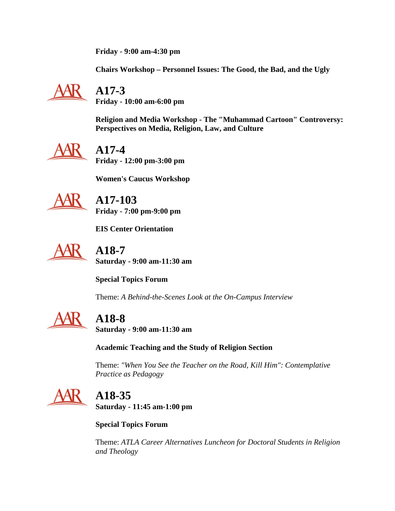**Friday - 9:00 am-4:30 pm**

**Chairs Workshop – Personnel Issues: The Good, the Bad, and the Ugly**



# **A17-3**

**Friday - 10:00 am-6:00 pm**

**Religion and Media Workshop - The "Muhammad Cartoon" Controversy: Perspectives on Media, Religion, Law, and Culture**



## **A17-4**

**Friday - 12:00 pm-3:00 pm**

**Women's Caucus Workshop**



 **A17-103 Friday - 7:00 pm-9:00 pm**

**EIS Center Orientation**



 **A18-7 Saturday - 9:00 am-11:30 am**

**Special Topics Forum**

Theme: *A Behind-the-Scenes Look at the On-Campus Interview*



## **A18-8**

**Saturday - 9:00 am-11:30 am**

**Academic Teaching and the Study of Religion Section**

Theme: *"When You See the Teacher on the Road, Kill Him": Contemplative Practice as Pedagogy*



## **A18-35 Saturday - 11:45 am-1:00 pm**

**Special Topics Forum**

Theme: *ATLA Career Alternatives Luncheon for Doctoral Students in Religion and Theology*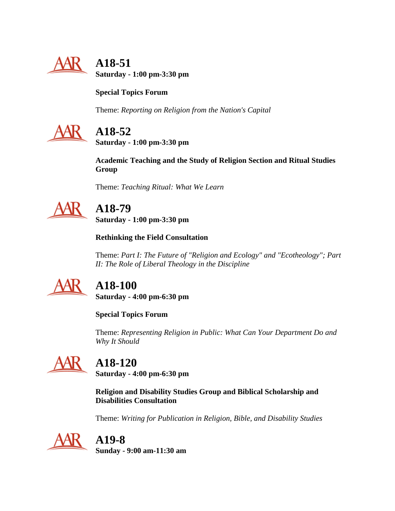

 **A18-51 Saturday - 1:00 pm-3:30 pm**

## **Special Topics Forum**

Theme: *Reporting on Religion from the Nation's Capital*



# **A18-52**

**Saturday - 1:00 pm-3:30 pm**

**Academic Teaching and the Study of Religion Section and Ritual Studies Group**

Theme: *Teaching Ritual: What We Learn*



# **A18-79**

**Saturday - 1:00 pm-3:30 pm**

**Rethinking the Field Consultation**

Theme: *Part I: The Future of "Religion and Ecology" and "Ecotheology"; Part II: The Role of Liberal Theology in the Discipline*



## **A18-100**

**Saturday - 4:00 pm-6:30 pm**

**Special Topics Forum**

Theme: *Representing Religion in Public: What Can Your Department Do and Why It Should*



# **A18-120**

**Saturday - 4:00 pm-6:30 pm**

**Religion and Disability Studies Group and Biblical Scholarship and Disabilities Consultation**

Theme: *Writing for Publication in Religion, Bible, and Disability Studies*



# **A19-8**

**Sunday - 9:00 am-11:30 am**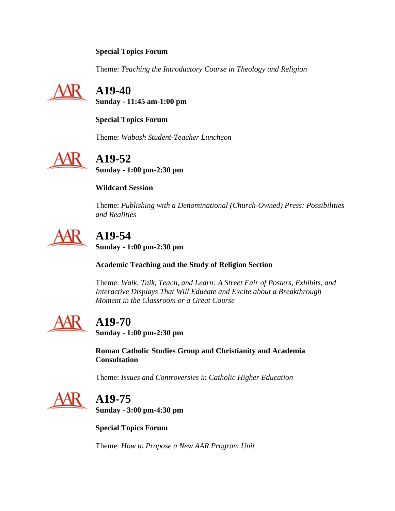### **Special Topics Forum**

Theme: *Teaching the Introductory Course in Theology and Religion*



 **A19-40 Sunday - 11:45 am-1:00 pm**

**Special Topics Forum**

Theme: *Wabash Student-Teacher Luncheon*



# **A19-52**

**Sunday - 1:00 pm-2:30 pm**

### **Wildcard Session**

Theme: *Publishing with a Denominational (Church-Owned) Press: Possibilities and Realities*



# **A19-54**

**Sunday - 1:00 pm-2:30 pm**

**Academic Teaching and the Study of Religion Section**

Theme: *Walk, Talk, Teach, and Learn: A Street Fair of Posters, Exhibits, and Interactive Displays That Will Educate and Excite about a Breakthrough Moment in the Classroom or a Great Course*



## **A19-70**

**Sunday - 1:00 pm-2:30 pm**

**Roman Catholic Studies Group and Christianity and Academia Consultation**

Theme: *Issues and Controversies in Catholic Higher Education*



# **A19-75**

**Sunday - 3:00 pm-4:30 pm**

**Special Topics Forum**

Theme: *How to Propose a New AAR Program Unit*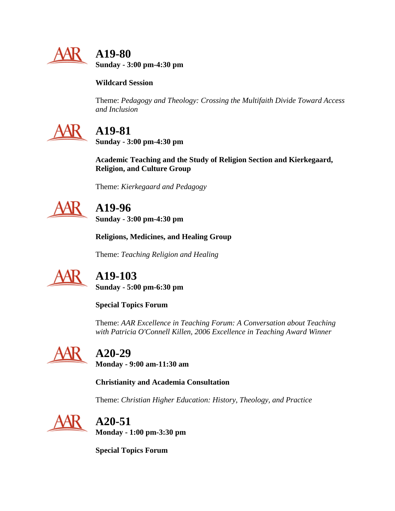

 **A19-80 Sunday - 3:00 pm-4:30 pm**

**Wildcard Session**

Theme: *Pedagogy and Theology: Crossing the Multifaith Divide Toward Access and Inclusion*



# **A19-81**

**Sunday - 3:00 pm-4:30 pm**

**Academic Teaching and the Study of Religion Section and Kierkegaard, Religion, and Culture Group**

Theme: *Kierkegaard and Pedagogy*



# **A19-96**

**Sunday - 3:00 pm-4:30 pm**

**Religions, Medicines, and Healing Group**

Theme: *Teaching Religion and Healing*



# **A19-103**

**Sunday - 5:00 pm-6:30 pm**

**Special Topics Forum**

Theme: *AAR Excellence in Teaching Forum: A Conversation about Teaching with Patricia O'Connell Killen, 2006 Excellence in Teaching Award Winner*



# **A20-29**

**Monday - 9:00 am-11:30 am**

**Christianity and Academia Consultation**

Theme: *Christian Higher Education: History, Theology, and Practice*



# **A20-51**

**Monday - 1:00 pm-3:30 pm**

**Special Topics Forum**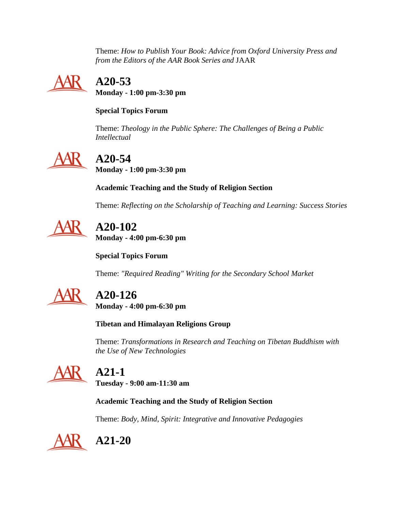Theme: *How to Publish Your Book: Advice from Oxford University Press and from the Editors of the AAR Book Series and* JAAR



# **A20-53**

**Monday - 1:00 pm-3:30 pm**

### **Special Topics Forum**

Theme: *Theology in the Public Sphere: The Challenges of Being a Public Intellectual*



# **A20-54**

**Monday - 1:00 pm-3:30 pm**

**Academic Teaching and the Study of Religion Section**

Theme: *Reflecting on the Scholarship of Teaching and Learning: Success Stories*



# **A20-102**

**Monday - 4:00 pm-6:30 pm**

**Special Topics Forum**

Theme: *"Required Reading" Writing for the Secondary School Market*



# **A20-126**

**Monday - 4:00 pm-6:30 pm**

**Tibetan and Himalayan Religions Group**

Theme: *Transformations in Research and Teaching on Tibetan Buddhism with the Use of New Technologies*

## **A21-1**

**Tuesday - 9:00 am-11:30 am**

## **Academic Teaching and the Study of Religion Section**

Theme: *Body, Mind, Spirit: Integrative and Innovative Pedagogies*



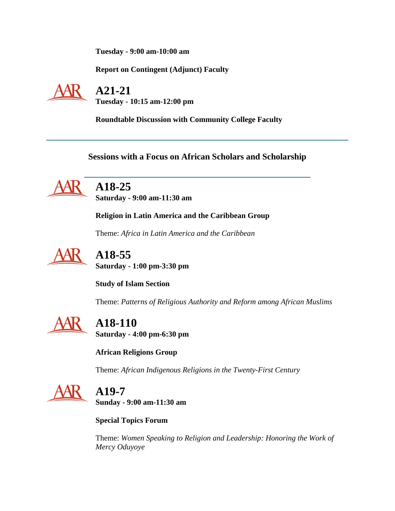**Tuesday - 9:00 am-10:00 am**

**Report on Contingent (Adjunct) Faculty**



 **A21-21 Tuesday - 10:15 am-12:00 pm**

**Roundtable Discussion with Community College Faculty**

**Sessions with a Focus on African Scholars and Scholarship**



 **A18-25 Saturday - 9:00 am-11:30 am**

**Religion in Latin America and the Caribbean Group**

Theme: *Africa in Latin America and the Caribbean*



**A18-55**

**Saturday - 1:00 pm-3:30 pm**

**Study of Islam Section**

Theme: *Patterns of Religious Authority and Reform among African Muslims*



 **A18-110 Saturday - 4:00 pm-6:30 pm**

**African Religions Group**

Theme: *African Indigenous Religions in the Twenty-First Century*



**A19-7**

**Sunday - 9:00 am-11:30 am**

**Special Topics Forum**

Theme: *Women Speaking to Religion and Leadership: Honoring the Work of Mercy Oduyoye*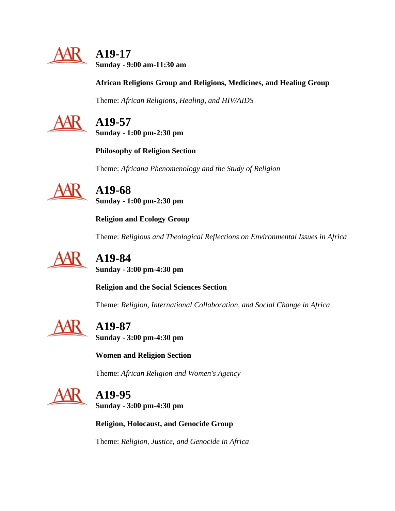

 **A19-17 Sunday - 9:00 am-11:30 am**

### **African Religions Group and Religions, Medicines, and Healing Group**

Theme: *African Religions, Healing, and HIV/AIDS*



## **A19-57**

**Sunday - 1:00 pm-2:30 pm**

**Philosophy of Religion Section**

Theme: *Africana Phenomenology and the Study of Religion*

 **A19-68 Sunday - 1:00 pm-2:30 pm**

**Religion and Ecology Group**

Theme: *Religious and Theological Reflections on Environmental Issues in Africa*



**A19-84**

**Sunday - 3:00 pm-4:30 pm**

**Religion and the Social Sciences Section**

Theme: *Religion, International Collaboration, and Social Change in Africa*



# **A19-87**

**Sunday - 3:00 pm-4:30 pm**

**Women and Religion Section**

Theme: *African Religion and Women's Agency*



# **A19-95**

**Sunday - 3:00 pm-4:30 pm**

**Religion, Holocaust, and Genocide Group**

Theme: *Religion, Justice, and Genocide in Africa*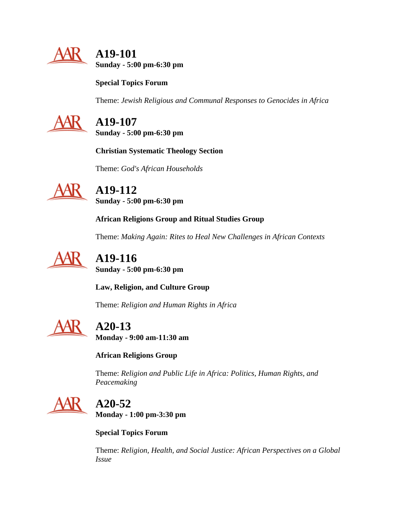

 **A19-101 Sunday - 5:00 pm-6:30 pm**

**Special Topics Forum**

Theme: *Jewish Religious and Communal Responses to Genocides in Africa*



 **A19-107 Sunday - 5:00 pm-6:30 pm**

**Christian Systematic Theology Section**

Theme: *God's African Households*



 **A19-112 Sunday - 5:00 pm-6:30 pm**

**African Religions Group and Ritual Studies Group**

Theme: *Making Again: Rites to Heal New Challenges in African Contexts*



 **A19-116 Sunday - 5:00 pm-6:30 pm**

**Law, Religion, and Culture Group**

Theme: *Religion and Human Rights in Africa*



**A20-13**

**Monday - 9:00 am-11:30 am**

**African Religions Group**

Theme: *Religion and Public Life in Africa: Politics, Human Rights, and Peacemaking*



# **A20-52**

**Monday - 1:00 pm-3:30 pm**

**Special Topics Forum**

Theme: *Religion, Health, and Social Justice: African Perspectives on a Global Issue*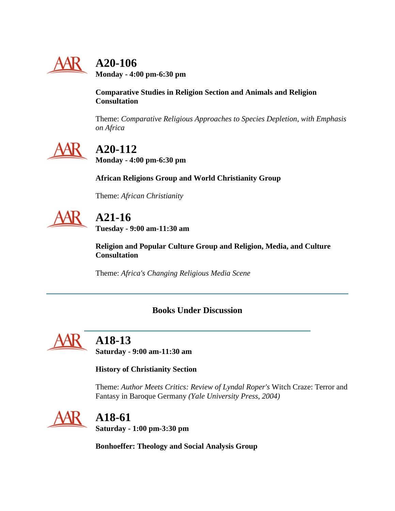

# **A20-106**

**Monday - 4:00 pm-6:30 pm**

### **Comparative Studies in Religion Section and Animals and Religion Consultation**

Theme: *Comparative Religious Approaches to Species Depletion, with Emphasis on Africa*



# **A20-112**

**Monday - 4:00 pm-6:30 pm**

**African Religions Group and World Christianity Group**

Theme: *African Christianity*

# **A21-16**

**Tuesday - 9:00 am-11:30 am**

**Religion and Popular Culture Group and Religion, Media, and Culture Consultation**

Theme: *Africa's Changing Religious Media Scene*

## **Books Under Discussion**

<span id="page-31-0"></span>

# **A18-13**

**Saturday - 9:00 am-11:30 am**

### **History of Christianity Section**

Theme: *Author Meets Critics: Review of Lyndal Roper's* Witch Craze: Terror and Fantasy in Baroque Germany *(Yale University Press, 2004)*



# **A18-61**

**Saturday - 1:00 pm-3:30 pm**

**Bonhoeffer: Theology and Social Analysis Group**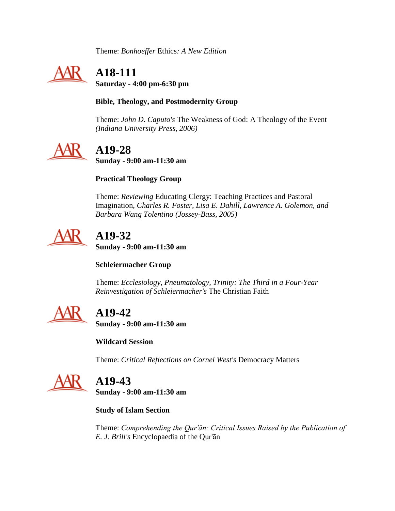Theme: *Bonhoeffer* Ethics*: A New Edition*



# **A18-111**

**Saturday - 4:00 pm-6:30 pm**

### **Bible, Theology, and Postmodernity Group**

Theme: *John D. Caputo's* The Weakness of God: A Theology of the Event *(Indiana University Press, 2006)*



# **A19-28**

**Sunday - 9:00 am-11:30 am**

### **Practical Theology Group**

Theme: *Reviewing* Educating Clergy: Teaching Practices and Pastoral Imagination*, Charles R. Foster, Lisa E. Dahill, Lawrence A. Golemon, and Barbara Wang Tolentino (Jossey-Bass, 2005)*



## **A19-32 Sunday - 9:00 am-11:30 am**

### **Schleiermacher Group**

Theme: *Ecclesiology, Pneumatology, Trinity: The Third in a Four-Year Reinvestigation of Schleiermacher's* The Christian Faith



# **A19-42**

**Sunday - 9:00 am-11:30 am**

**Wildcard Session**

Theme: *Critical Reflections on Cornel West's* Democracy Matters



## **A19-43**

**Sunday - 9:00 am-11:30 am**

**Study of Islam Section**

Theme: *Comprehending the Qur'ān: Critical Issues Raised by the Publication of E. J. Brill's* Encyclopaedia of the Qur'ān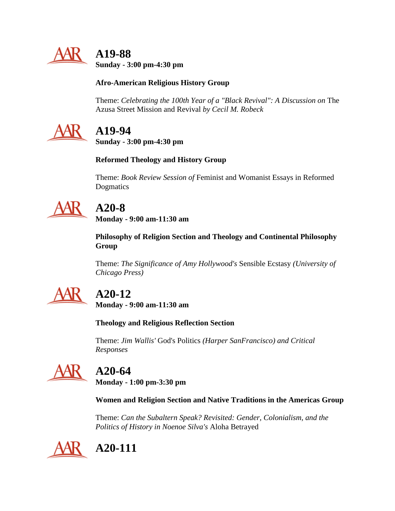

 **A19-88 Sunday - 3:00 pm-4:30 pm**

### **Afro-American Religious History Group**

Theme: *Celebrating the 100th Year of a "Black Revival": A Discussion on* The Azusa Street Mission and Revival *by Cecil M. Robeck*



## **A19-94**

**Sunday - 3:00 pm-4:30 pm**

### **Reformed Theology and History Group**

Theme: *Book Review Session of* Feminist and Womanist Essays in Reformed Dogmatics



# **A20-8**

**Monday - 9:00 am-11:30 am**

**Philosophy of Religion Section and Theology and Continental Philosophy Group**

Theme: *The Significance of Amy Hollywood's* Sensible Ecstasy *(University of Chicago Press)*



# **A20-12**

**Monday - 9:00 am-11:30 am**

### **Theology and Religious Reflection Section**

Theme: *Jim Wallis'* God's Politics *(Harper SanFrancisco) and Critical Responses*



## **A20-64**

**Monday - 1:00 pm-3:30 pm**

### **Women and Religion Section and Native Traditions in the Americas Group**

Theme: *Can the Subaltern Speak? Revisited: Gender, Colonialism, and the Politics of History in Noenoe Silva's* Aloha Betrayed

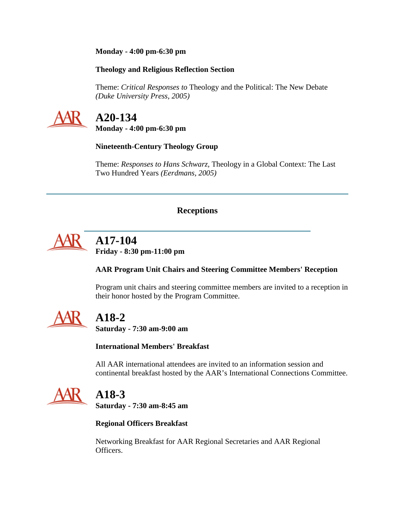#### **Monday - 4:00 pm-6:30 pm**

#### **Theology and Religious Reflection Section**

Theme: *Critical Responses to* Theology and the Political: The New Debate *(Duke University Press, 2005)*



## **A20-134**

**Monday - 4:00 pm-6:30 pm**

### **Nineteenth-Century Theology Group**

Theme: *Responses to Hans Schwarz,* Theology in a Global Context: The Last Two Hundred Years *(Eerdmans, 2005)*

### **Receptions**

<span id="page-34-0"></span>

# **A17-104**

**Friday - 8:30 pm-11:00 pm**

### **AAR Program Unit Chairs and Steering Committee Members' Reception**

Program unit chairs and steering committee members are invited to a reception in their honor hosted by the Program Committee.



## **A18-2**

**Saturday - 7:30 am-9:00 am**

#### **International Members' Breakfast**

All AAR international attendees are invited to an information session and continental breakfast hosted by the AAR's International Connections Committee.



## **A18-3**

**Saturday - 7:30 am-8:45 am**

### **Regional Officers Breakfast**

Networking Breakfast for AAR Regional Secretaries and AAR Regional Officers.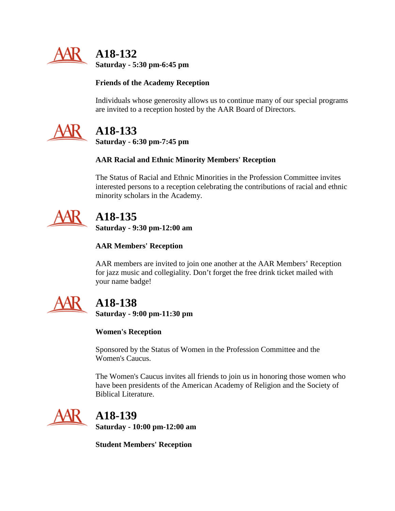

 **A18-132 Saturday - 5:30 pm-6:45 pm**

### **Friends of the Academy Reception**

Individuals whose generosity allows us to continue many of our special programs are invited to a reception hosted by the AAR Board of Directors.



# **A18-133**

**Saturday - 6:30 pm-7:45 pm**

### **AAR Racial and Ethnic Minority Members' Reception**

The Status of Racial and Ethnic Minorities in the Profession Committee invites interested persons to a reception celebrating the contributions of racial and ethnic minority scholars in the Academy.



# **A18-135**

**Saturday - 9:30 pm-12:00 am**

### **AAR Members' Reception**

AAR members are invited to join one another at the AAR Members' Reception for jazz music and collegiality. Don't forget the free drink ticket mailed with your name badge!



# **A18-138**

**Saturday - 9:00 pm-11:30 pm**

### **Women's Reception**

Sponsored by the Status of Women in the Profession Committee and the Women's Caucus.

The Women's Caucus invites all friends to join us in honoring those women who have been presidents of the American Academy of Religion and the Society of Biblical Literature.



 **A18-139 Saturday - 10:00 pm-12:00 am**

**Student Members' Reception**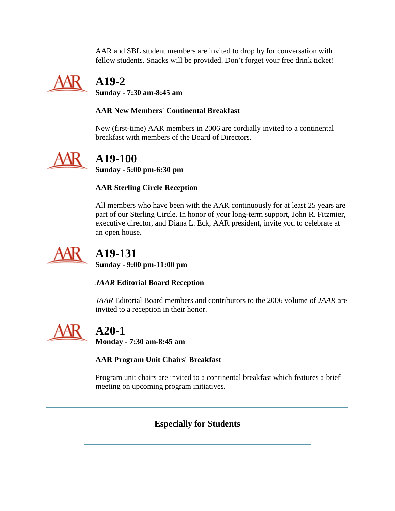AAR and SBL student members are invited to drop by for conversation with fellow students. Snacks will be provided. Don't forget your free drink ticket!



# **A19-2**

**Sunday - 7:30 am-8:45 am**

### **AAR New Members' Continental Breakfast**

New (first-time) AAR members in 2006 are cordially invited to a continental breakfast with members of the Board of Directors.



# **A19-100**

**Sunday - 5:00 pm-6:30 pm**

### **AAR Sterling Circle Reception**

All members who have been with the AAR continuously for at least 25 years are part of our Sterling Circle. In honor of your long-term support, John R. Fitzmier, executive director, and Diana L. Eck, AAR president, invite you to celebrate at an open house.



# **A19-131**

**Sunday - 9:00 pm-11:00 pm**

### *JAAR* **Editorial Board Reception**

*JAAR* Editorial Board members and contributors to the 2006 volume of *JAAR* are invited to a reception in their honor.



# **A20-1**

**Monday - 7:30 am-8:45 am**

### **AAR Program Unit Chairs' Breakfast**

<span id="page-36-0"></span>Program unit chairs are invited to a continental breakfast which features a brief meeting on upcoming program initiatives.

## **Especially for Students**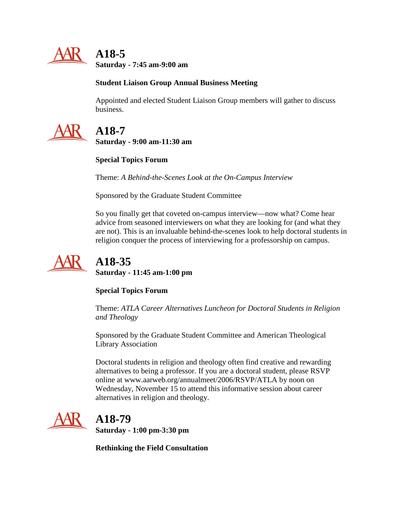

 **A18-5 Saturday - 7:45 am-9:00 am**

### **Student Liaison Group Annual Business Meeting**

Appointed and elected Student Liaison Group members will gather to discuss business.



## **A18-7**

**Saturday - 9:00 am-11:30 am**

### **Special Topics Forum**

Theme: *A Behind-the-Scenes Look at the On-Campus Interview*

Sponsored by the Graduate Student Committee

So you finally get that coveted on-campus interview—now what? Come hear advice from seasoned interviewers on what they are looking for (and what they are not). This is an invaluable behind-the-scenes look to help doctoral students in religion conquer the process of interviewing for a professorship on campus.



# **A18-35**

**Saturday - 11:45 am-1:00 pm**

### **Special Topics Forum**

Theme: *ATLA Career Alternatives Luncheon for Doctoral Students in Religion and Theology*

Sponsored by the Graduate Student Committee and American Theological Library Association

Doctoral students in religion and theology often find creative and rewarding alternatives to being a professor. If you are a doctoral student, please RSVP online at www.aarweb.org/annualmeet/2006/RSVP/ATLA by noon on Wednesday, November 15 to attend this informative session about career alternatives in religion and theology.



# **A18-79**

**Saturday - 1:00 pm-3:30 pm**

**Rethinking the Field Consultation**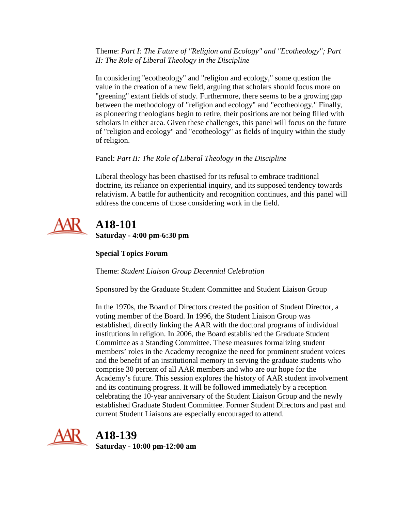Theme: *Part I: The Future of "Religion and Ecology" and "Ecotheology"; Part II: The Role of Liberal Theology in the Discipline*

In considering "ecotheology" and "religion and ecology," some question the value in the creation of a new field, arguing that scholars should focus more on "greening" extant fields of study. Furthermore, there seems to be a growing gap between the methodology of "religion and ecology" and "ecotheology." Finally, as pioneering theologians begin to retire, their positions are not being filled with scholars in either area. Given these challenges, this panel will focus on the future of "religion and ecology" and "ecotheology" as fields of inquiry within the study of religion.

### Panel: *Part II: The Role of Liberal Theology in the Discipline*

Liberal theology has been chastised for its refusal to embrace traditional doctrine, its reliance on experiential inquiry, and its supposed tendency towards relativism. A battle for authenticity and recognition continues, and this panel will address the concerns of those considering work in the field.



## **A18-101 Saturday - 4:00 pm-6:30 pm**

### **Special Topics Forum**

Theme: *Student Liaison Group Decennial Celebration*

Sponsored by the Graduate Student Committee and Student Liaison Group

In the 1970s, the Board of Directors created the position of Student Director, a voting member of the Board. In 1996, the Student Liaison Group was established, directly linking the AAR with the doctoral programs of individual institutions in religion. In 2006, the Board established the Graduate Student Committee as a Standing Committee. These measures formalizing student members' roles in the Academy recognize the need for prominent student voices and the benefit of an institutional memory in serving the graduate students who comprise 30 percent of all AAR members and who are our hope for the Academy's future. This session explores the history of AAR student involvement and its continuing progress. It will be followed immediately by a reception celebrating the 10-year anniversary of the Student Liaison Group and the newly established Graduate Student Committee. Former Student Directors and past and current Student Liaisons are especially encouraged to attend.



## **A18-139**

**Saturday - 10:00 pm-12:00 am**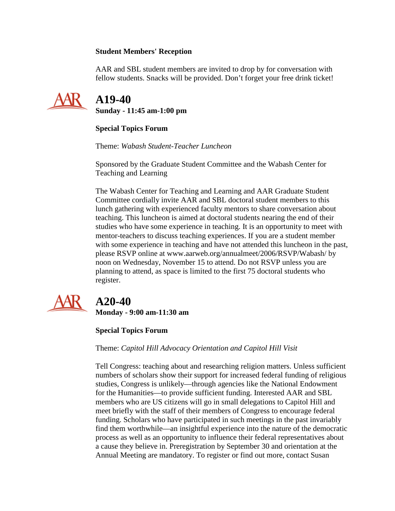#### **Student Members' Reception**

AAR and SBL student members are invited to drop by for conversation with fellow students. Snacks will be provided. Don't forget your free drink ticket!



 **A19-40 Sunday - 11:45 am-1:00 pm**

### **Special Topics Forum**

Theme: *Wabash Student-Teacher Luncheon*

Sponsored by the Graduate Student Committee and the Wabash Center for Teaching and Learning

The Wabash Center for Teaching and Learning and AAR Graduate Student Committee cordially invite AAR and SBL doctoral student members to this lunch gathering with experienced faculty mentors to share conversation about teaching. This luncheon is aimed at doctoral students nearing the end of their studies who have some experience in teaching. It is an opportunity to meet with mentor-teachers to discuss teaching experiences. If you are a student member with some experience in teaching and have not attended this luncheon in the past, please RSVP online at www.aarweb.org/annualmeet/2006/RSVP/Wabash/ by noon on Wednesday, November 15 to attend. Do not RSVP unless you are planning to attend, as space is limited to the first 75 doctoral students who register.



# **A20-40**

**Monday - 9:00 am-11:30 am**

### **Special Topics Forum**

Theme: *Capitol Hill Advocacy Orientation and Capitol Hill Visit*

Tell Congress: teaching about and researching religion matters. Unless sufficient numbers of scholars show their support for increased federal funding of religious studies, Congress is unlikely—through agencies like the National Endowment for the Humanities—to provide sufficient funding. Interested AAR and SBL members who are US citizens will go in small delegations to Capitol Hill and meet briefly with the staff of their members of Congress to encourage federal funding. Scholars who have participated in such meetings in the past invariably find them worthwhile—an insightful experience into the nature of the democratic process as well as an opportunity to influence their federal representatives about a cause they believe in. Preregistration by September 30 and orientation at the Annual Meeting are mandatory. To register or find out more, contact Susan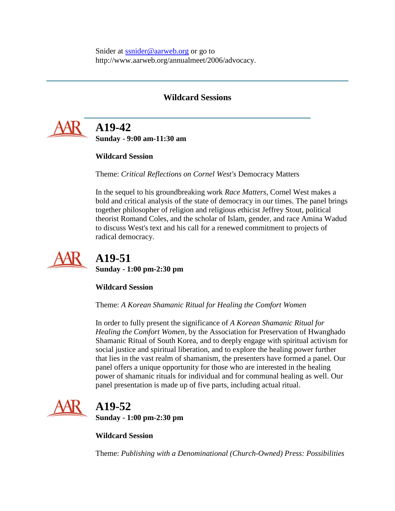Snider at [ssnider@aarweb.org](mailto:ssnider@aarweb.org) or go to http://www.aarweb.org/annualmeet/2006/advocacy.

### **Wildcard Sessions**

<span id="page-40-0"></span>

# **A19-42**

**Sunday - 9:00 am-11:30 am**

### **Wildcard Session**

Theme: *Critical Reflections on Cornel West's* Democracy Matters

In the sequel to his groundbreaking work *Race Matters*, Cornel West makes a bold and critical analysis of the state of democracy in our times. The panel brings together philosopher of religion and religious ethicist Jeffrey Stout, political theorist Romand Coles, and the scholar of Islam, gender, and race Amina Wadud to discuss West's text and his call for a renewed commitment to projects of radical democracy.



## **A19-51 Sunday - 1:00 pm-2:30 pm**

**Wildcard Session**

Theme: *A Korean Shamanic Ritual for Healing the Comfort Women*

In order to fully present the significance of *A Korean Shamanic Ritual for Healing the Comfort Women,* by the Association for Preservation of Hwanghado Shamanic Ritual of South Korea, and to deeply engage with spiritual activism for social justice and spiritual liberation, and to explore the healing power further that lies in the vast realm of shamanism, the presenters have formed a panel. Our panel offers a unique opportunity for those who are interested in the healing power of shamanic rituals for individual and for communal healing as well. Our panel presentation is made up of five parts, including actual ritual.



## **A19-52 Sunday - 1:00 pm-2:30 pm**

**Wildcard Session**

Theme: *Publishing with a Denominational (Church-Owned) Press: Possibilities*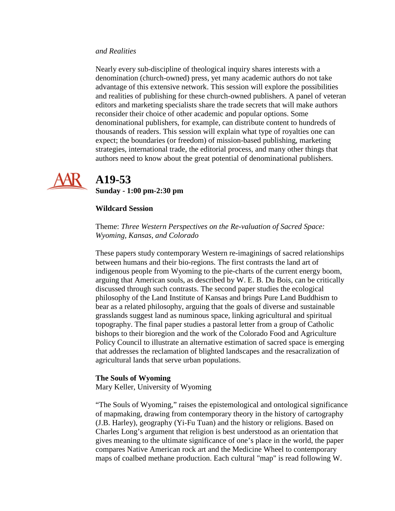#### *and Realities*

Nearly every sub-discipline of theological inquiry shares interests with a denomination (church-owned) press, yet many academic authors do not take advantage of this extensive network. This session will explore the possibilities and realities of publishing for these church-owned publishers. A panel of veteran editors and marketing specialists share the trade secrets that will make authors reconsider their choice of other academic and popular options. Some denominational publishers, for example, can distribute content to hundreds of thousands of readers. This session will explain what type of royalties one can expect; the boundaries (or freedom) of mission-based publishing, marketing strategies, international trade, the editorial process, and many other things that authors need to know about the great potential of denominational publishers.



## **A19-53**

**Sunday - 1:00 pm-2:30 pm**

#### **Wildcard Session**

Theme: *Three Western Perspectives on the Re-valuation of Sacred Space: Wyoming, Kansas, and Colorado*

These papers study contemporary Western re-imaginings of sacred relationships between humans and their bio-regions. The first contrasts the land art of indigenous people from Wyoming to the pie-charts of the current energy boom, arguing that American souls, as described by W. E. B. Du Bois, can be critically discussed through such contrasts. The second paper studies the ecological philosophy of the Land Institute of Kansas and brings Pure Land Buddhism to bear as a related philosophy, arguing that the goals of diverse and sustainable grasslands suggest land as numinous space, linking agricultural and spiritual topography. The final paper studies a pastoral letter from a group of Catholic bishops to their bioregion and the work of the Colorado Food and Agriculture Policy Council to illustrate an alternative estimation of sacred space is emerging that addresses the reclamation of blighted landscapes and the resacralization of agricultural lands that serve urban populations.

#### **The Souls of Wyoming**

Mary Keller, University of Wyoming

"The Souls of Wyoming," raises the epistemological and ontological significance of mapmaking, drawing from contemporary theory in the history of cartography (J.B. Harley), geography (Yi-Fu Tuan) and the history or religions. Based on Charles Long's argument that religion is best understood as an orientation that gives meaning to the ultimate significance of one's place in the world, the paper compares Native American rock art and the Medicine Wheel to contemporary maps of coalbed methane production. Each cultural "map" is read following W.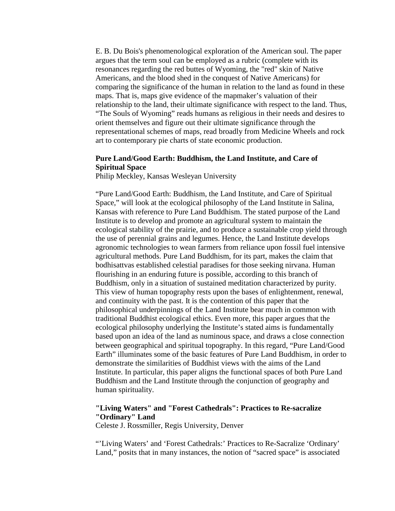E. B. Du Bois's phenomenological exploration of the American soul. The paper argues that the term soul can be employed as a rubric (complete with its resonances regarding the red buttes of Wyoming, the "red" skin of Native Americans, and the blood shed in the conquest of Native Americans) for comparing the significance of the human in relation to the land as found in these maps. That is, maps give evidence of the mapmaker's valuation of their relationship to the land, their ultimate significance with respect to the land. Thus, "The Souls of Wyoming" reads humans as religious in their needs and desires to orient themselves and figure out their ultimate significance through the representational schemes of maps, read broadly from Medicine Wheels and rock art to contemporary pie charts of state economic production.

#### **Pure Land/Good Earth: Buddhism, the Land Institute, and Care of Spiritual Space**

Philip Meckley, Kansas Wesleyan University

"Pure Land/Good Earth: Buddhism, the Land Institute, and Care of Spiritual Space," will look at the ecological philosophy of the Land Institute in Salina, Kansas with reference to Pure Land Buddhism. The stated purpose of the Land Institute is to develop and promote an agricultural system to maintain the ecological stability of the prairie, and to produce a sustainable crop yield through the use of perennial grains and legumes. Hence, the Land Institute develops agronomic technologies to wean farmers from reliance upon fossil fuel intensive agricultural methods. Pure Land Buddhism, for its part, makes the claim that bodhisattvas established celestial paradises for those seeking nirvana. Human flourishing in an enduring future is possible, according to this branch of Buddhism, only in a situation of sustained meditation characterized by purity. This view of human topography rests upon the bases of enlightenment, renewal, and continuity with the past. It is the contention of this paper that the philosophical underpinnings of the Land Institute bear much in common with traditional Buddhist ecological ethics. Even more, this paper argues that the ecological philosophy underlying the Institute's stated aims is fundamentally based upon an idea of the land as numinous space, and draws a close connection between geographical and spiritual topography. In this regard, "Pure Land/Good Earth" illuminates some of the basic features of Pure Land Buddhism, in order to demonstrate the similarities of Buddhist views with the aims of the Land Institute. In particular, this paper aligns the functional spaces of both Pure Land Buddhism and the Land Institute through the conjunction of geography and human spirituality.

#### **"Living Waters" and "Forest Cathedrals": Practices to Re-sacralize "Ordinary" Land**

Celeste J. Rossmiller, Regis University, Denver

"'Living Waters' and 'Forest Cathedrals:' Practices to Re-Sacralize 'Ordinary' Land," posits that in many instances, the notion of "sacred space" is associated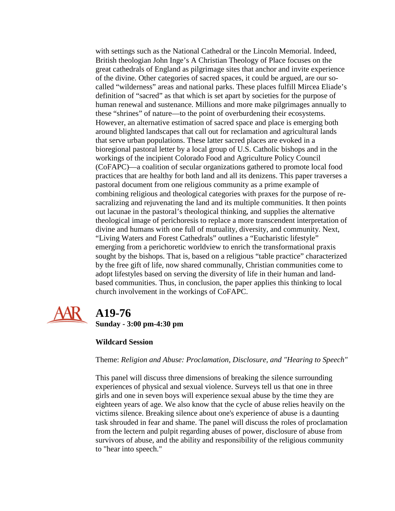with settings such as the National Cathedral or the Lincoln Memorial. Indeed, British theologian John Inge's A Christian Theology of Place focuses on the great cathedrals of England as pilgrimage sites that anchor and invite experience of the divine. Other categories of sacred spaces, it could be argued, are our socalled "wilderness" areas and national parks. These places fulfill Mircea Eliade's definition of "sacred" as that which is set apart by societies for the purpose of human renewal and sustenance. Millions and more make pilgrimages annually to these "shrines" of nature—to the point of overburdening their ecosystems. However, an alternative estimation of sacred space and place is emerging both around blighted landscapes that call out for reclamation and agricultural lands that serve urban populations. These latter sacred places are evoked in a bioregional pastoral letter by a local group of U.S. Catholic bishops and in the workings of the incipient Colorado Food and Agriculture Policy Council (CoFAPC)—a coalition of secular organizations gathered to promote local food practices that are healthy for both land and all its denizens. This paper traverses a pastoral document from one religious community as a prime example of combining religious and theological categories with praxes for the purpose of resacralizing and rejuvenating the land and its multiple communities. It then points out lacunae in the pastoral's theological thinking, and supplies the alternative theological image of perichoresis to replace a more transcendent interpretation of divine and humans with one full of mutuality, diversity, and community. Next, "Living Waters and Forest Cathedrals" outlines a "Eucharistic lifestyle" emerging from a perichoretic worldview to enrich the transformational praxis sought by the bishops. That is, based on a religious "table practice" characterized by the free gift of life, now shared communally, Christian communities come to adopt lifestyles based on serving the diversity of life in their human and landbased communities. Thus, in conclusion, the paper applies this thinking to local church involvement in the workings of CoFAPC.



# **A19-76**

**Sunday - 3:00 pm-4:30 pm**

### **Wildcard Session**

Theme: *Religion and Abuse: Proclamation, Disclosure, and "Hearing to Speech"*

This panel will discuss three dimensions of breaking the silence surrounding experiences of physical and sexual violence. Surveys tell us that one in three girls and one in seven boys will experience sexual abuse by the time they are eighteen years of age. We also know that the cycle of abuse relies heavily on the victims silence. Breaking silence about one's experience of abuse is a daunting task shrouded in fear and shame. The panel will discuss the roles of proclamation from the lectern and pulpit regarding abuses of power, disclosure of abuse from survivors of abuse, and the ability and responsibility of the religious community to "hear into speech."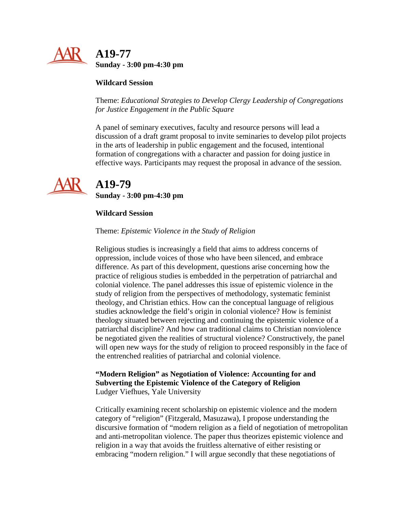

#### **Wildcard Session**

Theme: *Educational Strategies to Develop Clergy Leadership of Congregations for Justice Engagement in the Public Square*

A panel of seminary executives, faculty and resource persons will lead a discussion of a draft gramt proposal to invite seminaries to develop pilot projects in the arts of leadership in public engagement and the focused, intentional formation of congregations with a character and passion for doing justice in effective ways. Participants may request the proposal in advance of the session.



## **A19-79 Sunday - 3:00 pm-4:30 pm**

#### **Wildcard Session**

#### Theme: *Epistemic Violence in the Study of Religion*

Religious studies is increasingly a field that aims to address concerns of oppression, include voices of those who have been silenced, and embrace difference. As part of this development, questions arise concerning how the practice of religious studies is embedded in the perpetration of patriarchal and colonial violence. The panel addresses this issue of epistemic violence in the study of religion from the perspectives of methodology, systematic feminist theology, and Christian ethics. How can the conceptual language of religious studies acknowledge the field's origin in colonial violence? How is feminist theology situated between rejecting and continuing the epistemic violence of a patriarchal discipline? And how can traditional claims to Christian nonviolence be negotiated given the realities of structural violence? Constructively, the panel will open new ways for the study of religion to proceed responsibly in the face of the entrenched realities of patriarchal and colonial violence.

#### **"Modern Religion" as Negotiation of Violence: Accounting for and Subverting the Epistemic Violence of the Category of Religion** Ludger Viefhues, Yale University

Critically examining recent scholarship on epistemic violence and the modern category of "religion" (Fitzgerald, Masuzawa), I propose understanding the discursive formation of "modern religion as a field of negotiation of metropolitan and anti-metropolitan violence. The paper thus theorizes epistemic violence and religion in a way that avoids the fruitless alternative of either resisting or embracing "modern religion." I will argue secondly that these negotiations of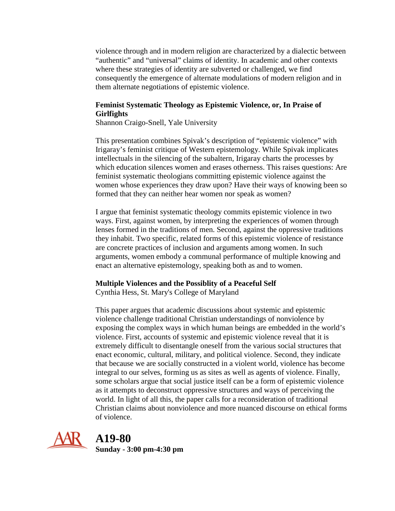violence through and in modern religion are characterized by a dialectic between "authentic" and "universal" claims of identity. In academic and other contexts where these strategies of identity are subverted or challenged, we find consequently the emergence of alternate modulations of modern religion and in them alternate negotiations of epistemic violence.

#### **Feminist Systematic Theology as Epistemic Violence, or, In Praise of Girlfights**

Shannon Craigo-Snell, Yale University

This presentation combines Spivak's description of "epistemic violence" with Irigaray's feminist critique of Western epistemology. While Spivak implicates intellectuals in the silencing of the subaltern, Irigaray charts the processes by which education silences women and erases otherness. This raises questions: Are feminist systematic theologians committing epistemic violence against the women whose experiences they draw upon? Have their ways of knowing been so formed that they can neither hear women nor speak as women?

I argue that feminist systematic theology commits epistemic violence in two ways. First, against women, by interpreting the experiences of women through lenses formed in the traditions of men. Second, against the oppressive traditions they inhabit. Two specific, related forms of this epistemic violence of resistance are concrete practices of inclusion and arguments among women. In such arguments, women embody a communal performance of multiple knowing and enact an alternative epistemology, speaking both as and to women.

#### **Multiple Violences and the Possiblity of a Peaceful Self**

Cynthia Hess, St. Mary's College of Maryland

This paper argues that academic discussions about systemic and epistemic violence challenge traditional Christian understandings of nonviolence by exposing the complex ways in which human beings are embedded in the world's violence. First, accounts of systemic and epistemic violence reveal that it is extremely difficult to disentangle oneself from the various social structures that enact economic, cultural, military, and political violence. Second, they indicate that because we are socially constructed in a violent world, violence has become integral to our selves, forming us as sites as well as agents of violence. Finally, some scholars argue that social justice itself can be a form of epistemic violence as it attempts to deconstruct oppressive structures and ways of perceiving the world. In light of all this, the paper calls for a reconsideration of traditional Christian claims about nonviolence and more nuanced discourse on ethical forms of violence.



 **A19-80 Sunday - 3:00 pm-4:30 pm**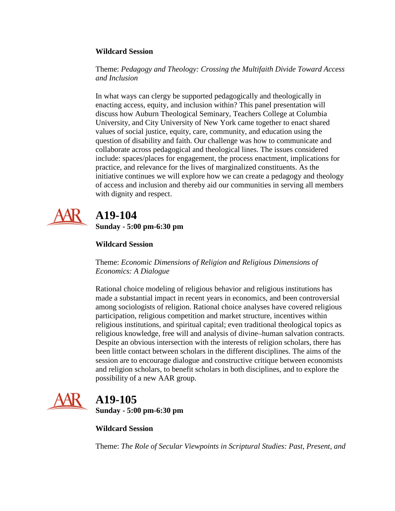#### **Wildcard Session**

Theme: *Pedagogy and Theology: Crossing the Multifaith Divide Toward Access and Inclusion*

In what ways can clergy be supported pedagogically and theologically in enacting access, equity, and inclusion within? This panel presentation will discuss how Auburn Theological Seminary, Teachers College at Columbia University, and City University of New York came together to enact shared values of social justice, equity, care, community, and education using the question of disability and faith. Our challenge was how to communicate and collaborate across pedagogical and theological lines. The issues considered include: spaces/places for engagement, the process enactment, implications for practice, and relevance for the lives of marginalized constituents. As the initiative continues we will explore how we can create a pedagogy and theology of access and inclusion and thereby aid our communities in serving all members with dignity and respect.



## **A19-104 Sunday - 5:00 pm-6:30 pm**

### **Wildcard Session**

Theme: *Economic Dimensions of Religion and Religious Dimensions of Economics: A Dialogue*

Rational choice modeling of religious behavior and religious institutions has made a substantial impact in recent years in economics, and been controversial among sociologists of religion. Rational choice analyses have covered religious participation, religious competition and market structure, incentives within religious institutions, and spiritual capital; even traditional theological topics as religious knowledge, free will and analysis of divine–human salvation contracts. Despite an obvious intersection with the interests of religion scholars, there has been little contact between scholars in the different disciplines. The aims of the session are to encourage dialogue and constructive critique between economists and religion scholars, to benefit scholars in both disciplines, and to explore the possibility of a new AAR group.



# **A19-105**

**Sunday - 5:00 pm-6:30 pm**

**Wildcard Session**

Theme: *The Role of Secular Viewpoints in Scriptural Studies: Past, Present, and*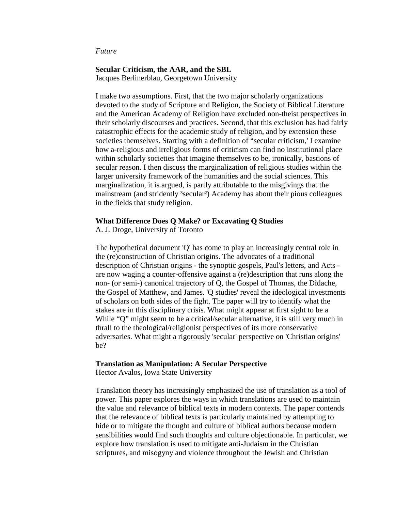#### *Future*

#### **Secular Criticism, the AAR, and the SBL**

Jacques Berlinerblau, Georgetown University

I make two assumptions. First, that the two major scholarly organizations devoted to the study of Scripture and Religion, the Society of Biblical Literature and the American Academy of Religion have excluded non-theist perspectives in their scholarly discourses and practices. Second, that this exclusion has had fairly catastrophic effects for the academic study of religion, and by extension these societies themselves. Starting with a definition of "secular criticism,' I examine how a-religious and irreligious forms of criticism can find no institutional place within scholarly societies that imagine themselves to be, ironically, bastions of secular reason. I then discuss the marginalization of religious studies within the larger university framework of the humanities and the social sciences. This marginalization, it is argued, is partly attributable to the misgivings that the mainstream (and stridently <sup>3</sup>secular<sup>2</sup>) Academy has about their pious colleagues in the fields that study religion.

#### **What Difference Does Q Make? or Excavating Q Studies**

A. J. Droge, University of Toronto

The hypothetical document 'Q' has come to play an increasingly central role in the (re)construction of Christian origins. The advocates of a traditional description of Christian origins - the synoptic gospels, Paul's letters, and Acts are now waging a counter-offensive against a (re)description that runs along the non- (or semi-) canonical trajectory of Q, the Gospel of Thomas, the Didache, the Gospel of Matthew, and James. 'Q studies' reveal the ideological investments of scholars on both sides of the fight. The paper will try to identify what the stakes are in this disciplinary crisis. What might appear at first sight to be a While "Q" might seem to be a critical/secular alternative, it is still very much in thrall to the theological/religionist perspectives of its more conservative adversaries. What might a rigorously 'secular' perspective on 'Christian origins' be?

#### **Translation as Manipulation: A Secular Perspective**

Hector Avalos, Iowa State University

Translation theory has increasingly emphasized the use of translation as a tool of power. This paper explores the ways in which translations are used to maintain the value and relevance of biblical texts in modern contexts. The paper contends that the relevance of biblical texts is particularly maintained by attempting to hide or to mitigate the thought and culture of biblical authors because modern sensibilities would find such thoughts and culture objectionable. In particular, we explore how translation is used to mitigate anti-Judaism in the Christian scriptures, and misogyny and violence throughout the Jewish and Christian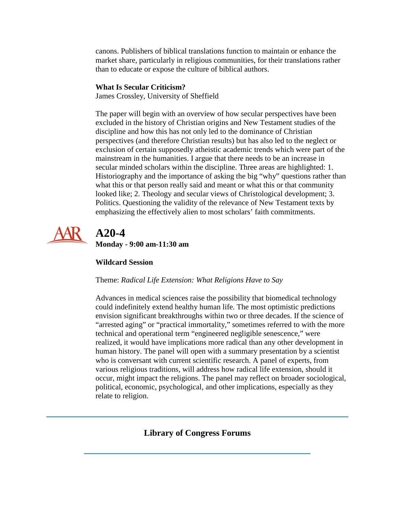canons. Publishers of biblical translations function to maintain or enhance the market share, particularly in religious communities, for their translations rather than to educate or expose the culture of biblical authors.

### **What Is Secular Criticism?**

James Crossley, University of Sheffield

The paper will begin with an overview of how secular perspectives have been excluded in the history of Christian origins and New Testament studies of the discipline and how this has not only led to the dominance of Christian perspectives (and therefore Christian results) but has also led to the neglect or exclusion of certain supposedly atheistic academic trends which were part of the mainstream in the humanities. I argue that there needs to be an increase in secular minded scholars within the discipline. Three areas are highlighted: 1. Historiography and the importance of asking the big "why" questions rather than what this or that person really said and meant or what this or that community looked like; 2. Theology and secular views of Christological development; 3. Politics. Questioning the validity of the relevance of New Testament texts by emphasizing the effectively alien to most scholars' faith commitments.



# **A20-4**

**Monday - 9:00 am-11:30 am**

### **Wildcard Session**

Theme: *Radical Life Extension: What Religions Have to Say*

Advances in medical sciences raise the possibility that biomedical technology could indefinitely extend healthy human life. The most optimistic predictions envision significant breakthroughs within two or three decades. If the science of "arrested aging" or "practical immortality," sometimes referred to with the more technical and operational term "engineered negligible senescence," were realized, it would have implications more radical than any other development in human history. The panel will open with a summary presentation by a scientist who is conversant with current scientific research. A panel of experts, from various religious traditions, will address how radical life extension, should it occur, might impact the religions. The panel may reflect on broader sociological, political, economic, psychological, and other implications, especially as they relate to religion.

### <span id="page-48-0"></span>**Library of Congress Forums**